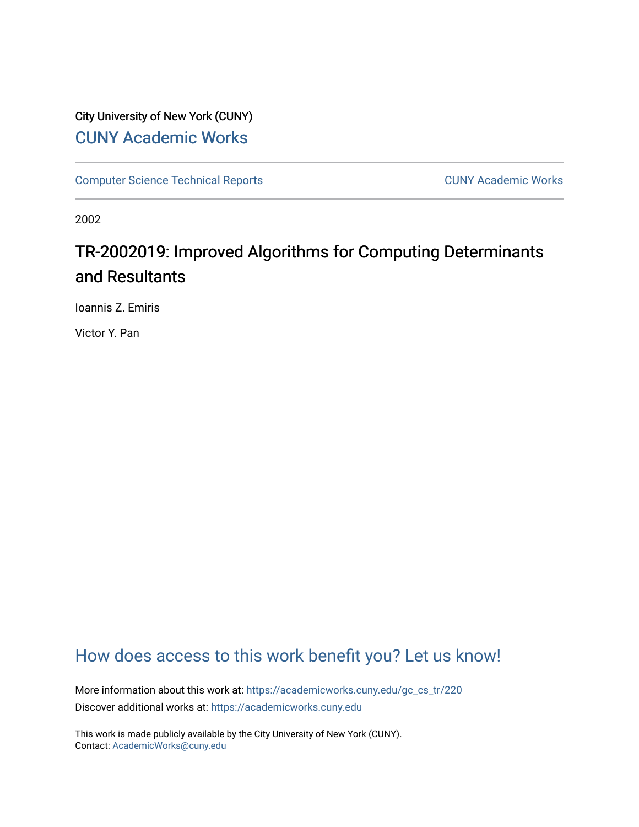## City University of New York (CUNY) [CUNY Academic Works](https://academicworks.cuny.edu/)

[Computer Science Technical Reports](https://academicworks.cuny.edu/gc_cs_tr) **CUNY Academic Works** CUNY Academic Works

2002

# TR-2002019: Improved Algorithms for Computing Determinants and Resultants

Ioannis Z. Emiris

Victor Y. Pan

## [How does access to this work benefit you? Let us know!](http://ols.cuny.edu/academicworks/?ref=https://academicworks.cuny.edu/gc_cs_tr/220)

More information about this work at: [https://academicworks.cuny.edu/gc\\_cs\\_tr/220](https://academicworks.cuny.edu/gc_cs_tr/220)  Discover additional works at: [https://academicworks.cuny.edu](https://academicworks.cuny.edu/?)

This work is made publicly available by the City University of New York (CUNY). Contact: [AcademicWorks@cuny.edu](mailto:AcademicWorks@cuny.edu)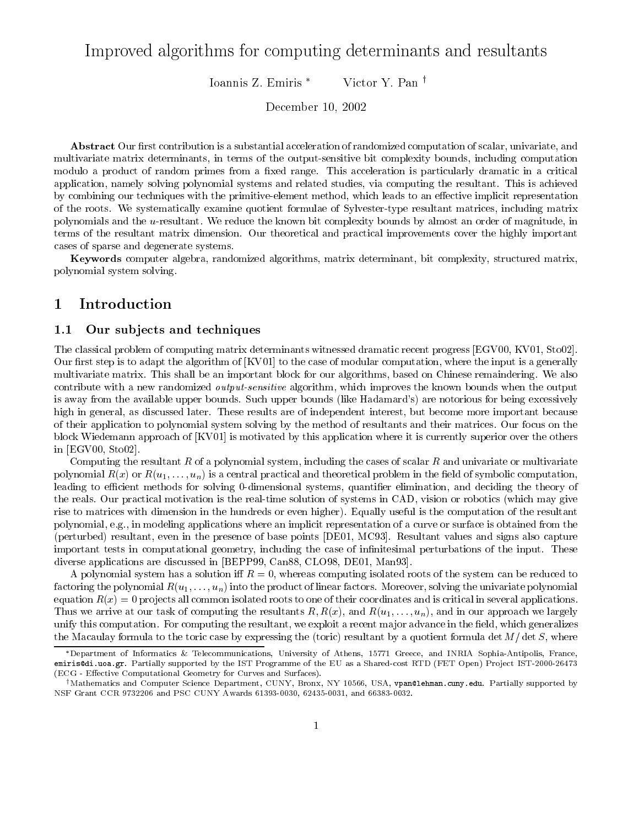## Improved algorithms for computing determinants and resultants

Victor Y. Pan<sup>†</sup> Ioannis Z. Emiris \*

December 10, 2002

**Abstract** Our first contribution is a substantial acceleration of randomized computation of scalar, univariate, and multivariate matrix determinants, in terms of the output-sensitive bit complexity bounds, including computation modulo a product of random primes from a fixed range. This acceleration is particularly dramatic in a critical application, namely solving polynomial systems and related studies, via computing the resultant. This is achieved by combining our techniques with the primitive-element method, which leads to an effective implicit representation of the roots. We systematically examine quotient formulae of Sylvester-type resultant matrices, including matrix polynomials and the u-resultant. We reduce the known bit complexity bounds by almost an order of magnitude, in terms of the resultant matrix dimension. Our theoretical and practical improvements cover the highly important cases of sparse and degenerate systems.

Keywords computer algebra, randomized algorithms, matrix determinant, bit complexity, structured matrix, polynomial system solving.

#### $\operatorname{Introduction}$  $\mathbf 1$

#### $1.1$ Our subjects and techniques

The classical problem of computing matrix determinants witnessed dramatic recent progress [EGV00, KV01, Sto02]. Our first step is to adapt the algorithm of [KV01] to the case of modular computation, where the input is a generally multivariate matrix. This shall be an important block for our algorithms, based on Chinese remaindering. We also contribute with a new randomized *output-sensitive* algorithm, which improves the known bounds when the output is away from the available upper bounds. Such upper bounds (like Hadamard's) are notorious for being excessively high in general, as discussed later. These results are of independent interest, but become more important because of their application to polynomial system solving by the method of resultants and their matrices. Our focus on the block Wiedemann approach of [KV01] is motivated by this application where it is currently superior over the others in  $[EGV00, Sto02]$ .

Computing the resultant R of a polynomial system, including the cases of scalar R and univariate or multivariate polynomial  $R(x)$  or  $R(u_1,...,u_n)$  is a central practical and theoretical problem in the field of symbolic computation, leading to efficient methods for solving 0-dimensional systems, quantifier elimination, and deciding the theory of the reals. Our practical motivation is the real-time solution of systems in CAD, vision or robotics (which may give rise to matrices with dimension in the hundreds or even higher). Equally useful is the computation of the resultant polynomial, e.g., in modeling applications where an implicit representation of a curve or surface is obtained from the (perturbed) resultant, even in the presence of base points [DE01, MC93]. Resultant values and signs also capture important tests in computational geometry, including the case of infinitesimal perturbations of the input. These diverse applications are discussed in [BEPP99, Can88, CLO98, DE01, Man93].

A polynomial system has a solution iff  $R=0$ , whereas computing isolated roots of the system can be reduced to factoring the polynomial  $R(u_1,\ldots,u_n)$  into the product of linear factors. Moreover, solving the univariate polynomial equation  $R(x) = 0$  projects all common isolated roots to one of their coordinates and is critical in several applications. Thus we arrive at our task of computing the resultants R,  $R(x)$ , and  $R(u_1, \ldots, u_n)$ , and in our approach we largely unify this computation. For computing the resultant, we exploit a recent major advance in the field, which generalizes the Macaulay formula to the toric case by expressing the (toric) resultant by a quotient formula det  $M/\det S$ , where

<sup>\*</sup>Department of Informatics & Telecommunications, University of Athens, 15771 Greece, and INRIA Sophia-Antipolis, France, emiris@di.uoa.gr. Partially supported by the IST Programme of the EU as a Shared-cost RTD (FET Open) Project IST-2000-26473 (ECG - Effective Computational Geometry for Curves and Surfaces).

<sup>&</sup>lt;sup>†</sup>Mathematics and Computer Science Department, CUNY, Bronx, NY 10566, USA, vpan@lehman.cuny.edu. Partially supported by NSF Grant CCR 9732206 and PSC CUNY Awards 61393-0030, 62435-0031, and 66383-0032.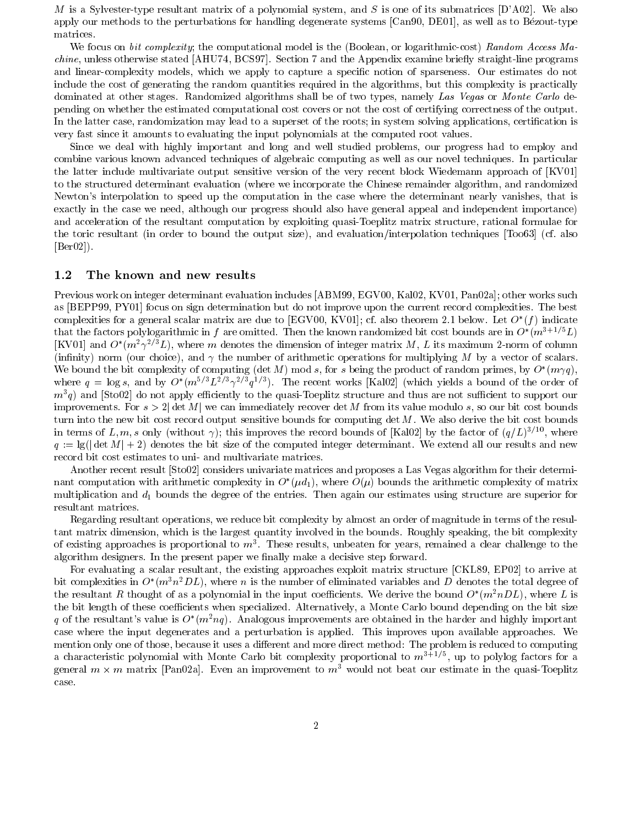M is a Sylvester-type resultant matrix of a polynomial system, and S is one of its submatrices [D'A02]. We also apply our methods to the perturbations for handling degenerate systems [Can90, DE01], as well as to Bézout-type matrices.

We focus on bit complexity; the computational model is the (Boolean, or logarithmic-cost) Random Access Machine, unless otherwise stated [AHU74, BCS97]. Section 7 and the Appendix examine briefly straight-line programs and linear-complexity models, which we apply to capture a specific notion of sparseness. Our estimates do not include the cost of generating the random quantities required in the algorithms, but this complexity is practically dominated at other stages. Randomized algorithms shall be of two types, namely Las Vegas or Monte Carlo depending on whether the estimated computational cost covers or not the cost of certifying correctness of the output. In the latter case, randomization may lead to a superset of the roots; in system solving applications, certification is very fast since it amounts to evaluating the input polynomials at the computed root values.

Since we deal with highly important and long and well studied problems, our progress had to employ and combine various known advanced techniques of algebraic computing as well as our novel techniques. In particular the latter include multivariate output sensitive version of the very recent block Wiedemann approach of [KV01] to the structured determinant evaluation (where we incorporate the Chinese remainder algorithm, and randomized Newton's interpolation to speed up the computation in the case where the determinant nearly vanishes, that is exactly in the case we need, although our progress should also have general appeal and independent importance) and acceleration of the resultant computation by exploiting quasi-Toeplitz matrix structure, rational formulae for the toric resultant (in order to bound the output size), and evaluation/interpolation techniques [Too63] (cf. also  $[Ber02]).$ 

#### The known and new results  $1.2$

Previous work on integer determinant evaluation includes [ABM99, EGV00, Kal02, KV01, Pan02a]; other works such as [BEPP99, PY01] focus on sign determination but do not improve upon the current record complexities. The best complexities for a general scalar matrix are due to [EGV00, KV01]; cf. also theorem 2.1 below. Let  $O^*(f)$  indicate that the factors polylogarithmic in f are omitted. Then the known randomized bit cost bounds are in  $O^*(m^{3+1/5}L)$ [KV01] and  $O^*(m^2\gamma^{2/3}L)$ , where m denotes the dimension of integer matrix M, L its maximum 2-norm of column (infinity) norm (our choice), and  $\gamma$  the number of arithmetic operations for multiplying M by a vector of scalars. We bound the bit complexity of computing (det M) mod s, for s being the product of random primes, by  $O^*(m\gamma q)$ , where  $q = \log s$ , and by  $O^*(m^{5/3}L^{2/3}\gamma^{2/3}q^{1/3})$ . The recent works [Kal02] (which yields a bound of the order of  $m^{3}q$ ) and [Sto02] do not apply efficiently to the quasi-Toeplitz structure and thus are not sufficient to support our improvements. For  $s > 2$  det M we can immediately recover det M from its value modulo s, so our bit cost bounds turn into the new bit cost record output sensitive bounds for computing  $\det M$ . We also derive the bit cost bounds in terms of L, m, s only (without  $\gamma$ ); this improves the record bounds of [Kal02] by the factor of  $(q/L)^{3/10}$ , where  $q := \lg(\det M) + 2$  denotes the bit size of the computed integer determinant. We extend all our results and new record bit cost estimates to uni- and multivariate matrices.

Another recent result [Sto02] considers univariate matrices and proposes a Las Vegas algorithm for their determinant computation with arithmetic complexity in  $O^*(\mu d_1)$ , where  $O(\mu)$  bounds the arithmetic complexity of matrix multiplication and  $d_1$  bounds the degree of the entries. Then again our estimates using structure are superior for resultant matrices.

Regarding resultant operations, we reduce bit complexity by almost an order of magnitude in terms of the resultant matrix dimension, which is the largest quantity involved in the bounds. Roughly speaking, the bit complexity of existing approaches is proportional to  $m<sup>3</sup>$ . These results, unbeaten for years, remained a clear challenge to the algorithm designers. In the present paper we finally make a decisive step forward.

For evaluating a scalar resultant, the existing approaches exploit matrix structure [CKL89, EP02] to arrive at bit complexities in  $O^*(m^3n^2DL)$ , where *n* is the number of eliminated variables and *D* denotes the total degree of the resultant R thought of as a polynomial in the input coefficients. We derive the bound  $O^*(m^2nDL)$ , where L is the bit length of these coefficients when specialized. Alternatively, a Monte Carlo bound depending on the bit size q of the resultant's value is  $O^*(m^2nq)$ . Analogous improvements are obtained in the harder and highly important case where the input degenerates and a perturbation is applied. This improves upon available approaches. We mention only one of those, because it uses a different and more direct method: The problem is reduced to computing a characteristic polynomial with Monte Carlo bit complexity proportional to  $m^{3+1/5}$ , up to polylog factors for a general  $m \times m$  matrix [Pan02a]. Even an improvement to  $m<sup>3</sup>$  would not beat our estimate in the quasi-Toeplitz case.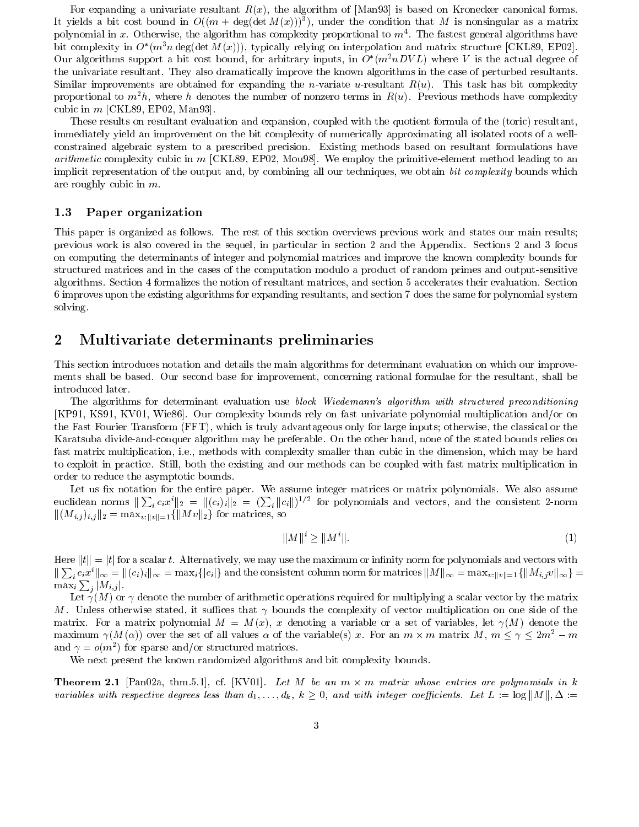For expanding a univariate resultant  $R(x)$ , the algorithm of [Man93] is based on Kronecker canonical forms. It yields a bit cost bound in  $O((m + \deg(\det M(x)))^3)$ , under the condition that M is nonsingular as a matrix polynomial in x. Otherwise, the algorithm has complexity proportional to  $m<sup>4</sup>$ . The fastest general algorithms have bit complexity in  $O^*(m^3n \deg(\det M(x)))$ , typically relying on interpolation and matrix structure [CKL89, EP02]. Our algorithms support a bit cost bound, for arbitrary inputs, in  $O^*(m^2nDVL)$  where V is the actual degree of the univariate resultant. They also dramatically improve the known algorithms in the case of perturbed resultants. Similar improvements are obtained for expanding the *n*-variate *u*-resultant  $R(u)$ . This task has bit complexity proportional to  $m^2h$ , where h denotes the number of nonzero terms in  $R(u)$ . Previous methods have complexity cubic in  $m$  [CKL89, EP02, Man93].

These results on resultant evaluation and expansion, coupled with the quotient formula of the (toric) resultant, immediately yield an improvement on the bit complexity of numerically approximating all isolated roots of a wellconstrained algebraic system to a prescribed precision. Existing methods based on resultant formulations have *arithmetic* complexity cubic in m [CKL89, EP02, Mou98]. We employ the primitive-element method leading to an implicit representation of the output and, by combining all our techniques, we obtain bit complexity bounds which are roughly cubic in  $m$ .

#### $1.3$ Paper organization

This paper is organized as follows. The rest of this section overviews previous work and states our main results; previous work is also covered in the sequel, in particular in section 2 and the Appendix. Sections 2 and 3 focus on computing the determinants of integer and polynomial matrices and improve the known complexity bounds for structured matrices and in the cases of the computation modulo a product of random primes and output-sensitive algorithms. Section 4 formalizes the notion of resultant matrices, and section 5 accelerates their evaluation. Section 6 improves upon the existing algorithms for expanding resultants, and section 7 does the same for polynomial system solving.

#### $\bf{2}$ Multivariate determinants preliminaries

This section introduces notation and details the main algorithms for determinant evaluation on which our improvements shall be based. Our second base for improvement, concerning rational formulae for the resultant, shall be introduced later.

The algorithms for determinant evaluation use block Wiedemann's algorithm with structured preconditioning [KP91, KS91, KV01, Wie86]. Our complexity bounds rely on fast univariate polynomial multiplication and/or on the Fast Fourier Transform (FFT), which is truly advantageous only for large inputs; otherwise, the classical or the Karatsuba divide-and-conquer algorithm may be preferable. On the other hand, none of the stated bounds relies on fast matrix multiplication, i.e., methods with complexity smaller than cubic in the dimension, which may be hard to exploit in practice. Still, both the existing and our methods can be coupled with fast matrix multiplication in order to reduce the asymptotic bounds.

Let us fix notation for the entire paper. We assume integer matrices or matrix polynomials. We also assume euclidean norms  $\|\sum_i c_i x^i\|_2 = \|(c_i)_i\|_2 = (\sum_i \|c_i\|)^{1/2}$  for polynomials and vectors, and the consistent 2-norm  $||(M_{i,j})_{i,j}||_2 = \max_{v:||v||=1} {||Mv||_2}$  for matrices, so

$$
||M||^i \ge ||M^i||. \tag{1}
$$

Here  $||t|| = |t|$  for a scalar t. Alternatively, we may use the maximum or infinity norm for polynomials and vectors with  $\|\sum_i c_i x^i\|_{\infty} = \|(c_i)_i\|_{\infty} = \max_i\{|c_i|\}$  and the consistent column norm for matrices  $\|M\|_{\infty} = \max_{v: \|v\|=1} {\{\|M_{i,j}v\|_{\infty}\}} =$  $\max_i \sum_j |M_{i,j}|.$ 

Let  $\gamma(M)$  or  $\gamma$  denote the number of arithmetic operations required for multiplying a scalar vector by the matrix M. Unless otherwise stated, it suffices that  $\gamma$  bounds the complexity of vector multiplication on one side of the matrix. For a matrix polynomial  $M = M(x)$ , x denoting a variable or a set of variables, let  $\gamma(M)$  denote the maximum  $\gamma(M(\alpha))$  over the set of all values  $\alpha$  of the variable(s) x. For an  $m \times m$  matrix  $M, m \leq \gamma \leq 2m^2 - m$ and  $\gamma = o(m^2)$  for sparse and/or structured matrices.

We next present the known randomized algorithms and bit complexity bounds.

**Theorem 2.1** [Pan02a, thm.5.1], cf. [KV01]. Let M be an  $m \times m$  matrix whose entries are polynomials in k variables with respective degrees less than  $d_1,\ldots,d_k$ ,  $k\geq 0$ , and with integer coefficients. Let  $L:=\log||M||, \Delta:=$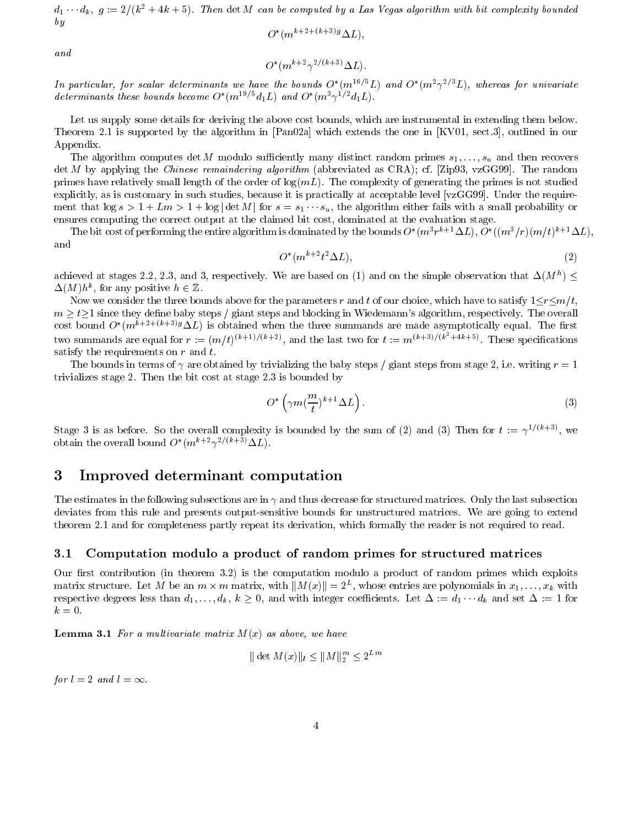$d_1 \cdots d_k$ ,  $g := 2/(k^2 + 4k + 5)$ . Then det M can be computed by a Las Vegas algorithm with bit complexity bounded  $by$ 

$$
O^*(m^{k+2+(k+3)g}\Delta L)
$$

and

$$
O^*(m^{k+2}\gamma^{2/(k+3)}\Delta L).
$$

In particular, for scalar determinants we have the bounds  $O^*(m^{16/5}L)$  and  $O^*(m^2 \gamma^{2/3}L)$ , whereas for univariate determinants these bounds become  $O^*(m^{19/5}d_1L)$  and  $O^*(m^3\gamma^{1/2}d_1L)$ .

Let us supply some details for deriving the above cost bounds, which are instrumental in extending them below. Theorem 2.1 is supported by the algorithm in [Pan02a] which extends the one in [KV01, sect.3], outlined in our Appendix.

The algorithm computes det M modulo sufficiently many distinct random primes  $s_1, \ldots, s_u$  and then recovers  $\det M$  by applying the *Chinese remaindering algorithm* (abbreviated as CRA); cf. [Zip93, vzGG99]. The random primes have relatively small length of the order of  $log(mL)$ . The complexity of generating the primes is not studied explicitly, as is customary in such studies, because it is practically at acceptable level [vzGG99]. Under the requirement that  $\log s > 1 + Lm > 1 + \log |\det M|$  for  $s = s_1 \cdots s_u$ , the algorithm either fails with a small probability or ensures computing the correct output at the claimed bit cost, dominated at the evaluation stage.

The bit cost of performing the entire algorithm is dominated by the bounds  $O^*(m^3r^{k+1}\Delta L)$ ,  $O^*((m^3/r)(m/t)^{k+1}\Delta L)$ , and

$$
O^*(m^{k+2}t^2\Delta L),\tag{2}
$$

achieved at stages 2.2, 2.3, and 3, respectively. We are based on (1) and on the simple observation that  $\Delta(M^h)$  $\Delta(M)h^k$ , for any positive  $h \in \mathbb{Z}$ .

Now we consider the three bounds above for the parameters r and t of our choice, which have to satisfy  $1 \le r \le m/t$ ,  $m > t$  ince they define baby steps / giant steps and blocking in Wiedemann's algorithm, respectively. The overall cost bound  $O^*(m^{k+2+(k+3)g}\Delta L)$  is obtained when the three summands are made asymptotically equal. The first two summands are equal for  $r := (m/t)^{(k+1)/(k+2)}$ , and the last two for  $t := m^{(k+3)/(k^2+4k+5)}$ . These specifications satisfy the requirements on  $r$  and  $t$ .

The bounds in terms of  $\gamma$  are obtained by trivializing the baby steps / giant steps from stage 2, i.e. writing  $r = 1$ trivializes stage 2. Then the bit cost at stage 2.3 is bounded by

$$
O^* \left( \gamma m \left( \frac{m}{t} \right)^{k+1} \Delta L \right). \tag{3}
$$

Stage 3 is as before. So the overall complexity is bounded by the sum of (2) and (3) Then for  $t := \gamma^{1/(k+3)}$ , we obtain the overall bound  $O^*(m^{k+2}\gamma^{2/(k+3)}\Delta L)$ .

#### $\bf{3}$ Improved determinant computation

The estimates in the following subsections are in  $\gamma$  and thus decrease for structured matrices. Only the last subsection deviates from this rule and presents output-sensitive bounds for unstructured matrices. We are going to extend theorem 2.1 and for completeness partly repeat its derivation, which formally the reader is not required to read.

#### $3.1\,$ Computation modulo a product of random primes for structured matrices

Our first contribution (in theorem 3.2) is the computation modulo a product of random primes which exploits matrix structure. Let M be an  $m \times m$  matrix, with  $||M(x)|| = 2^L$ , whose entries are polynomials in  $x_1, \ldots, x_k$  with respective degrees less than  $d_1, \ldots, d_k, k \geq 0$ , and with integer coefficients. Let  $\Delta := d_1 \cdots d_k$  and set  $\Delta := 1$  for  $k=0.$ 

**Lemma 3.1** For a multivariate matrix  $M(x)$  as above, we have

 $\|\det M(x)\|_{l} \leq \|M\|_{2}^{m} \leq 2^{Lm}$ 

for  $l = 2$  and  $l = \infty$ .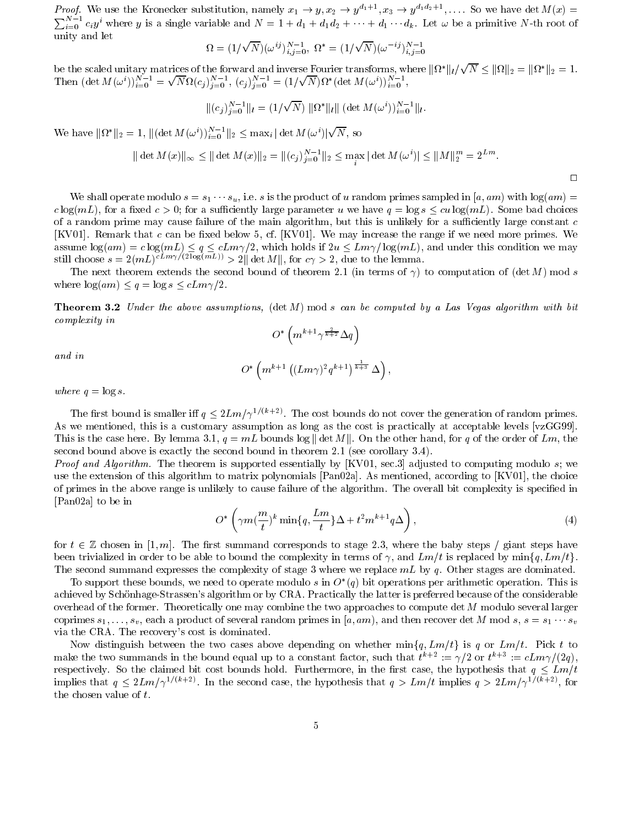*Proof.* We use the Kronecker substitution, namely  $x_1 \to y$ ,  $x_2 \to y^{d_1+1}$ ,  $x_3 \to y^{d_1d_2+1}$ , .... So we have det  $M(x)$  $\sum_{i=0}^{N-1} c_i y^i$  where y is a single variable and  $N = 1 + d_1 + d_1 d_2 + \cdots + d_1 \cdots d_k$ . Let  $\omega$  be a primitive N-th root of unity and let

$$
\Omega = (1/\sqrt{N})(\omega^{ij})_{i,j=0}^{N-1}, \ \Omega^* = (1/\sqrt{N})(\omega^{-ij})_{i,j=0}^{N-1}
$$

be the scaled unitary matrices of the forward and inverse Fourier transforms, where  $\|\Omega^*\|_l/\sqrt{N} \le \|\Omega\|_2 = \|\Omega^*\|_2 = 1$ .<br>Then  $(\det M(\omega^i))_{i=0}^{N-1} = \sqrt{N}\Omega(c_j)_{j=0}^{N-1}$ ,  $(c_j)_{j=0}^{N-1} = (1/\sqrt{N})\Omega^*(\det M(\omega^i))_{i=0}^{N-1}$ ,

$$
\|(c_j)_{j=0}^{N-1}\|_{l} = (1/\sqrt{N}) \|\Omega^*\|_{l} \|\left(\det M(\omega^i)\right)_{i=0}^{N-1}\|_{l}.
$$

We have  $||\Omega^*||_2 = 1$ ,  $||(\det M(\omega^i))_{i=0}^{N-1}||_2 \leq \max_i | \det M(\omega^i)| \sqrt{N}$ , so

$$
\|\det M(x)\|_{\infty} \le \|\det M(x)\|_{2} = \|(c_j)_{j=0}^{N-1}\|_{2} \le \max_{i} |\det M(\omega^{i})| \le \|M\|_{2}^{m} = 2^{Lm}.
$$

 $\Box$ 

We shall operate modulo  $s = s_1 \cdots s_u$ , i.e. s is the product of u random primes sampled in [a, am) with  $log(am)$  $c \log(mL)$ , for a fixed  $c > 0$ ; for a sufficiently large parameter u we have  $q = \log s \leq cu \log(mL)$ . Some bad choices of a random prime may cause failure of the main algorithm, but this is unlikely for a sufficiently large constant  $c$ [KV01]. Remark that c can be fixed below 5, cf. [KV01]. We may increase the range if we need more primes. We assume  $\log(am) = c \log(mL) \le q \le cLm\gamma/2$ , which holds if  $2u \le Lm\gamma/\log(mL)$ , and under this condition we may still choose  $s = 2(mL)^{cLm\gamma/(2\log(mL))} > 2$  det  $M||$ , for  $c\gamma > 2$ , due to the lemma.

The next theorem extends the second bound of theorem 2.1 (in terms of  $\gamma$ ) to computation of (det M) mod s where  $\log(am) \leq q = \log s \leq cLm\gamma/2$ .

**Theorem 3.2** Under the above assumptions, (det M) mod s can be computed by a Las Vegas algorithm with bit complexity in

$$
O^*\left(m^{k+1}\gamma^{\frac{2}{k+2}}\Delta q\right)
$$

and in

$$
O^*\left(m^{k+1}\left((Lm\gamma)^2q^{k+1}\right)^{\frac{1}{k+3}}\Delta\right),\,
$$

where  $q = \log s$ .

The first bound is smaller iff  $q \leq 2Lm/\gamma^{1/(k+2)}$ . The cost bounds do not cover the generation of random primes. As we mentioned, this is a customary assumption as long as the cost is practically at acceptable levels [vzGG99]. This is the case here. By lemma 3.1,  $q = mL$  bounds  $\log || \det M ||$ . On the other hand, for q of the order of Lm, the second bound above is exactly the second bound in theorem 2.1 (see corollary  $3.4$ ).

Proof and Algorithm. The theorem is supported essentially by [KV01, sec.3] adjusted to computing modulo s; we use the extension of this algorithm to matrix polynomials [Pan02a]. As mentioned, according to [KV01], the choice of primes in the above range is unlikely to cause failure of the algorithm. The overall bit complexity is specified in [Pan02a] to be in

$$
O^* \left( \gamma m \left( \frac{m}{t} \right)^k \min\{q, \frac{Lm}{t} \} \Delta + t^2 m^{k+1} q \Delta \right), \tag{4}
$$

for  $t \in \mathbb{Z}$  chosen in [1, m]. The first summand corresponds to stage 2.3, where the baby steps / giant steps have been trivialized in order to be able to bound the complexity in terms of  $\gamma$ , and  $Lm/t$  is replaced by  $\min\{q, Lm/t\}$ . The second summand expresses the complexity of stage 3 where we replace  $mL$  by q. Other stages are dominated.

To support these bounds, we need to operate modulo s in  $O^*(q)$  bit operations per arithmetic operation. This is achieved by Schönhage-Strassen's algorithm or by CRA. Practically the latter is preferred because of the considerable overhead of the former. Theoretically one may combine the two approaches to compute  $\det M$  modulo several larger coprimes  $s_1, \ldots, s_v$ , each a product of several random primes in [a, am), and then recover det M mod  $s, s = s_1 \cdots s_v$ via the CRA. The recovery's cost is dominated.

Now distinguish between the two cases above depending on whether  $\min\{q, Lm/t\}$  is q or  $Lm/t$ . Pick t to make the two summands in the bound equal up to a constant factor, such that  $t^{k+2} := \gamma/2$  or  $t^{k+3} := cLm\gamma/(2q)$ , respectively. So the claimed bit cost bounds hold. Furthermore, in the first case, the hypothesis that  $q \leq Lm/t$ implies that  $q \leq 2Lm/\gamma^{1/(k+2)}$ . In the second case, the hypothesis that  $q > Lm/t$  implies  $q > 2Lm/\gamma^{1/(k+2)}$ , for the chosen value of  $t$ .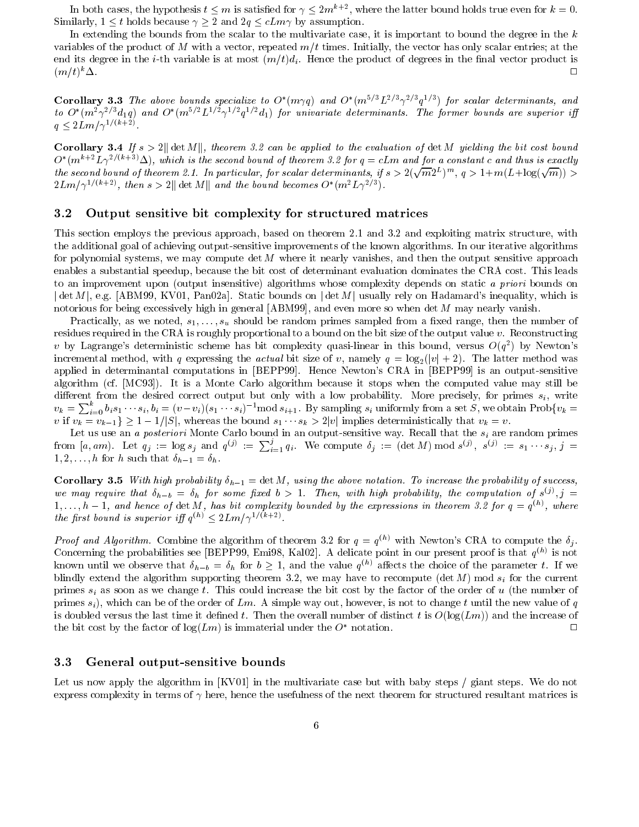In both cases, the hypothesis  $t \leq m$  is satisfied for  $\gamma \leq 2m^{k+2}$ , where the latter bound holds true even for  $k = 0$ . Similarly,  $1 \leq t$  holds because  $\gamma \geq 2$  and  $2q \leq cLm\gamma$  by assumption.

In extending the bounds from the scalar to the multivariate case, it is important to bound the degree in the  $k$ variables of the product of M with a vector, repeated  $m/t$  times. Initially, the vector has only scalar entries; at the end its degree in the *i*-th variable is at most  $(m/t)d_i$ . Hence the product of degrees in the final vector product is  $(m/t)^k\Delta$ .  $\Box$ 

**Corollary 3.3** The above bounds specialize to  $O^*(m\gamma q)$  and  $O^*(m^{5/3}L^{2/3}\gamma^{2/3}q^{1/3})$  for scalar determinants, and to  $O^*(m^2\gamma^2/3d_1q)$  and  $O^*(m^{5/2}L^{1/2}\gamma^{1/2}q^{1/2}d_1)$  for univariate determinants. The former bounds are superior iff  $q \leq 2Lm/\gamma^{1/(k+2)}$ .

**Corollary 3.4** If  $s > 2$  det M ||, theorem 3.2 can be applied to the evaluation of det M yielding the bit cost bound  $O^*(m^{k+2}L\gamma^{2/(k+3)}\Delta)$ , which is the second bound of theorem 3.2 for  $q=cLm$  and for a constant c and thus is exactly the second bound of theorem 2.1. In particular, for scalar determinants, if  $s>2(\sqrt{m}2^L)^m$ ,  $q>1+m(L+\log(\sqrt{m}))>0$  $2Lm/\gamma^{1/(k+2)}$ , then  $s>2$ || det M|| and the bound becomes  $O^*(m^2L\gamma^{2/3})$ .

#### $3.2$ Output sensitive bit complexity for structured matrices

This section employs the previous approach, based on theorem 2.1 and 3.2 and exploiting matrix structure, with the additional goal of achieving output-sensitive improvements of the known algorithms. In our iterative algorithms for polynomial systems, we may compute det  $M$  where it nearly vanishes, and then the output sensitive approach enables a substantial speedup, because the bit cost of determinant evaluation dominates the CRA cost. This leads to an improvement upon (output insensitive) algorithms whose complexity depends on static a priori bounds on  $|\det M|$ , e.g. [ABM99, KV01, Pan02a]. Static bounds on  $|\det M|$  usually rely on Hadamard's inequality, which is notorious for being excessively high in general [ABM99], and even more so when det  $M$  may nearly vanish.

Practically, as we noted,  $s_1, \ldots, s_u$  should be random primes sampled from a fixed range, then the number of residues required in the CRA is roughly proportional to a bound on the bit size of the output value v. Reconstructing v by Lagrange's deterministic scheme has bit complexity quasi-linear in this bound, versus  $O(q^2)$  by Newton's incremental method, with q expressing the *actual* bit size of v, namely  $q = \log_2(|v| + 2)$ . The latter method was applied in determinantal computations in [BEPP99]. Hence Newton's CRA in [BEPP99] is an output-sensitive algorithm (cf. [MC93]). It is a Monte Carlo algorithm because it stops when the computed value may still be different from the desired correct output but only with a low probability. More precisely, for primes  $s_i$ , write  $v_k = \sum_{i=0}^k b_i s_1 \cdots s_i, b_i = (v-v_i)(s_1 \cdots s_i)^{-1} \mod s_{i+1}$ . By sampling  $s_i$  uniformly from a set S, we obtain  $\text{Prob}\{v_k =$ v if  $v_k = v_{k-1} \ge 1 - 1/|S|$ , whereas the bound  $s_1 \cdots s_k > 2|v|$  implies deterministically that  $v_k = v$ .

Let us use an a posteriori Monte Carlo bound in an output-sensitive way. Recall that the  $s_i$  are random primes from [a, am). Let  $q_j := \log s_j$  and  $q^{(j)} := \sum_{i=1}^j q_i$ . We compute  $\delta_j := (\det M) \bmod s^{(j)}, s^{(j)} := s_1 \cdots s_j, j =$  $1, 2, \ldots, h$  for h such that  $\delta_{h-1} = \delta_h$ .

**Corollary 3.5** With high probability  $\delta_{h-1} = \det M$ , using the above notation. To increase the probability of success, we may require that  $\delta_{h-b} = \delta_h$  for some fixed  $b > 1$ . Then, with high probability, the computation of  $s^{(j)}$ ,  $j =$  $1,\ldots,h-1$ , and hence of  $\det M$ , has bit complexity bounded by the expressions in theorem 3.2 for  $q=q^{(h)}$ , where the first bound is superior iff  $q^{(h)} < 2Lm/\gamma^{1/(k+2)}$ .

*Proof and Algorithm.* Combine the algorithm of theorem 3.2 for  $q = q^{(h)}$  with Newton's CRA to compute the  $\delta_i$ . Concerning the probabilities see [BEPP99, Emi98, Kal02]. A delicate point in our present proof is that  $q^{(h)}$  is not known until we observe that  $\delta_{h-b} = \delta_h$  for  $b \ge 1$ , and the value  $q^{(h)}$  affects the choice of the parameter t. If we blindly extend the algorithm supporting theorem 3.2, we may have to recompute (det M) mod  $s_i$  for the current primes  $s_i$  as soon as we change t. This could increase the bit cost by the factor of the order of u (the number of primes  $s_i$ ), which can be of the order of Lm. A simple way out, however, is not to change t until the new value of q is doubled versus the last time it defined t. Then the overall number of distinct t is  $O(\log(Lm))$  and the increase of the bit cost by the factor of  $\log(Lm)$  is immaterial under the  $O^*$  notation.  $\Box$ 

#### $3.3$ General output-sensitive bounds

Let us now apply the algorithm in [KV01] in the multivariate case but with baby steps / giant steps. We do not express complexity in terms of  $\gamma$  here, hence the usefulness of the next theorem for structured resultant matrices is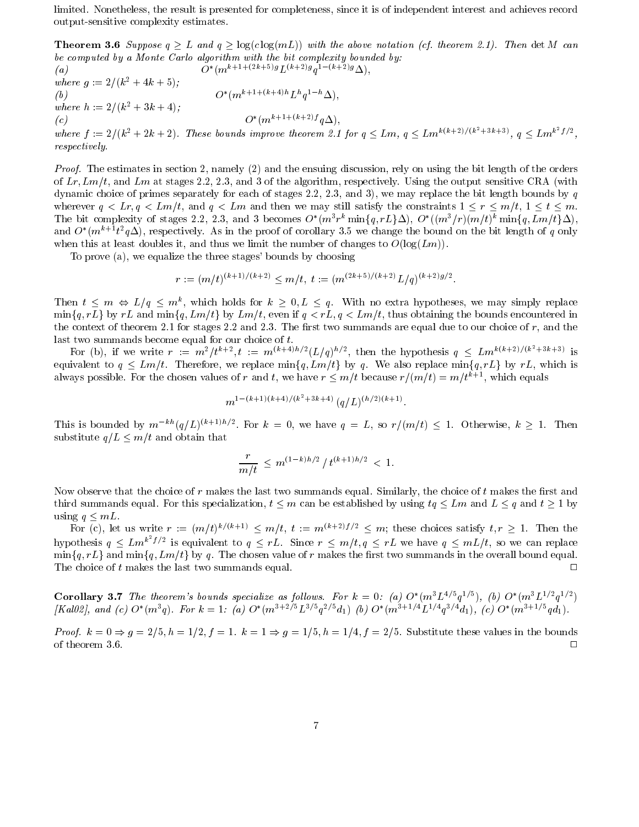limited. Nonetheless, the result is presented for completeness, since it is of independent interest and achieves record output-sensitive complexity estimates.

**Theorem 3.6** Suppose  $q \geq L$  and  $q \geq \log(c \log(mL))$  with the above notation (cf. theorem 2.1). Then det M can be computed by a Monte Carlo algorithm with the bit complexity bounded by:  $O^*(m^{k+1+(2k+5)g}L^{(k+2)g}q^{1-(k+2)g}\Delta),$ 

 $(a)$ where  $q := 2/(k^2 + 4k + 5)$ ;  $O^*(m^{k+1+(k+4)h} L^h a^{1-h} \Delta).$  $(b)$ where  $h := 2/(k^2 + 3k + 4);$  $O^*(m^{k+1+(k+2)f} q\Delta),$  $(c)$ where  $f := 2/(k^2 + 2k + 2)$ . These bounds improve theorem 2.1 for  $q \leq Lm$ ,  $q \leq Lm^{k(k+2)/(k^2+3k+3)}$ ,  $q \leq Lm^{k^2}f/2$ , respectively.

*Proof.* The estimates in section 2, namely (2) and the ensuing discussion, rely on using the bit length of the orders of Lr, Lm/t, and Lm at stages 2.2, 2.3, and 3 of the algorithm, respectively. Using the output sensitive CRA (with dynamic choice of primes separately for each of stages 2.2, 2.3, and 3), we may replace the bit length bounds by  $q$ wherever  $q \leq Lr, q \leq Lm/t$ , and  $q \leq Lm$  and then we may still satisfy the constraints  $1 \leq r \leq m/t, 1 \leq t \leq m$ . The bit complexity of stages 2.2, 2.3, and 3 becomes  $O^*(m^3r^k \min\{q, rL\}\Delta)$ ,  $O^*((m^3/r)(m/t)^k \min\{q, Lm/t\}\Delta)$ , and  $O^*(m^{k+1}t^2q\Delta)$ , respectively. As in the proof of corollary 3.5 we change the bound on the bit length of q only when this at least doubles it, and thus we limit the number of changes to  $O(\log(Lm))$ .

To prove (a), we equalize the three stages' bounds by choosing

$$
r := (m/t)^{(k+1)/(k+2)} \leq m/t, t := (m^{(2k+5)/(k+2)}L/q)^{(k+2)g/2}.
$$

Then  $t \leq m \Leftrightarrow L/q \leq m^k$ , which holds for  $k \geq 0, L \leq q$ . With no extra hypotheses, we may simply replace  $\min\{q, rL\}$  by rL and  $\min\{q, Lm/t\}$  by  $Lm/t$ , even if  $q < rL$ ,  $q < Lm/t$ , thus obtaining the bounds encountered in the context of theorem 2.1 for stages 2.2 and 2.3. The first two summands are equal due to our choice of  $r$ , and the last two summands become equal for our choice of  $t$ .

For (b), if we write  $r := m^2/t^{k+2}$ ,  $t := m^{(k+4)h/2}(L/q)^{h/2}$ , then the hypothesis  $q \leq Lm^{k(k+2)/(k^2+3k+3)}$  is equivalent to  $q \leq Lm/t$ . Therefore, we replace  $\min\{q, Lm/t\}$  by q. We also replace  $\min\{q, rL\}$  by rL, which is always possible. For the chosen values of r and t, we have  $r \leq m/t$  because  $r/(m/t) = m/t^{k+1}$ , which equals

$$
m^{1-(k+1)(k+4)/(k^2+3k+4)} \ (q/L)^{(h/2)(k+1)}
$$

This is bounded by  $m^{-kh}(q/L)^{(k+1)h/2}$ . For  $k = 0$ , we have  $q = L$ , so  $r/(m/t) \leq 1$ . Otherwise,  $k \geq 1$ . Then substitute  $q/L \leq m/t$  and obtain that

$$
\frac{r}{m/t} \le m^{(1-k)h/2} / t^{(k+1)h/2} < 1.
$$

Now observe that the choice of r makes the last two summands equal. Similarly, the choice of t makes the first and third summands equal. For this specialization,  $t \leq m$  can be established by using  $tq \leq Lm$  and  $L \leq q$  and  $t \geq 1$  by using  $q \leq mL$ .

For (c), let us write  $r := (m/t)^{k/(k+1)} \leq m/t$ ,  $t := m^{(k+2)f/2} \leq m$ ; these choices satisfy  $t, r \geq 1$ . Then the hypothesis  $q \leq Lm^{k^2}f/2$  is equivalent to  $q \leq rL$ . Since  $r \leq m/t, q \leq rL$  we have  $q \leq mL/t$ , so we can replace  $\min\{q, rL\}$  and  $\min\{q, Lm/t\}$  by q. The chosen value of r makes the first two summands in the overall bound equal. The choice of  $t$  makes the last two summands equal.  $\Box$ 

**Corollary 3.7** The theorem's bounds specialize as follows. For  $k = 0$ : (a)  $O^*(m^3 L^{4/5} q^{1/5})$ , (b)  $O^*(m^3 L^{1/2} q^{1/2})$ <br>[Kal02], and (c)  $O^*(m^3 q)$ . For  $k = 1$ : (a)  $O^*(m^{3+2/5} L^{3/5} q^{2/5} d_1)$  (b)  $O^*(m^{3+1/4} L^{1/4} q$ 

*Proof.*  $k = 0 \Rightarrow g = 2/5$ ,  $h = 1/2$ ,  $f = 1$ .  $k = 1 \Rightarrow g = 1/5$ ,  $h = 1/4$ ,  $f = 2/5$ . Substitute these values in the bounds of theorem 3.6.  $\Box$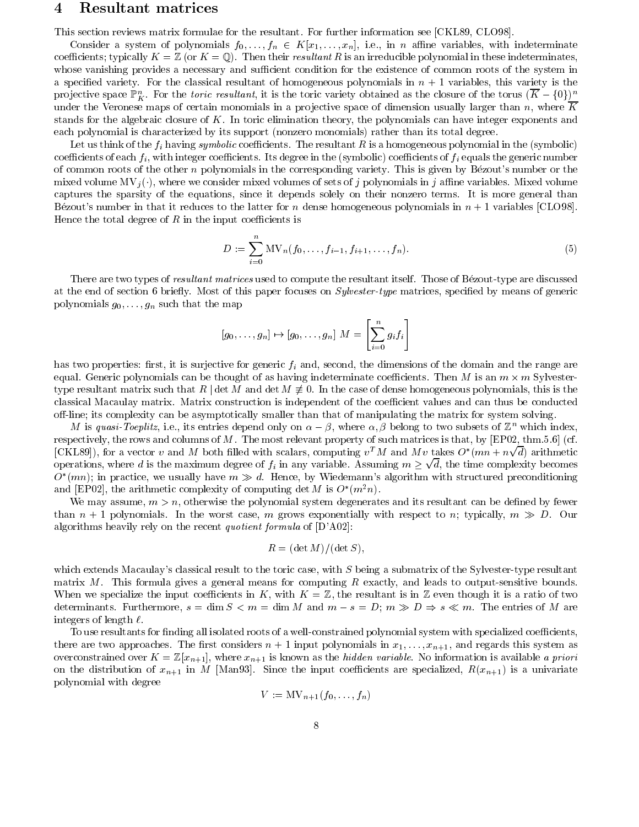#### $\boldsymbol{4}$ Resultant matrices

This section reviews matrix formulae for the resultant. For further information see [CKL89, CLO98].

Consider a system of polynomials  $f_0, \ldots, f_n \in K[x_1, \ldots, x_n]$ , i.e., in *n* affine variables, with indeterminate coefficients; typically  $K = \mathbb{Z}$  (or  $K = \mathbb{Q}$ ). Then their resultant R is an irreducible polynomial in these indeterminates. whose vanishing provides a necessary and sufficient condition for the existence of common roots of the system in a specified variety. For the classical resultant of homogeneous polynomials in  $n + 1$  variables, this variety is the projective space  $\mathbb{P}_K^n$ . For the toric resultant, it is the toric variety obtained as the closure of the torus  $(\overline{K} - \{0\})^n$ under the Veronese maps of certain monomials in a projective space of dimension usually larger than  $n$ , where K stands for the algebraic closure of  $K$ . In toric elimination theory, the polynomials can have integer exponents and each polynomial is characterized by its support (nonzero monomials) rather than its total degree.

Let us think of the  $f_i$  having symbolic coefficients. The resultant R is a homogeneous polynomial in the (symbolic) coefficients of each  $f_i$ , with integer coefficients. Its degree in the (symbolic) coefficients of  $f_i$  equals the generic number of common roots of the other n polynomials in the corresponding variety. This is given by Bézout's number or the mixed volume  $MV_j(\cdot)$ , where we consider mixed volumes of sets of j polynomials in j affine variables. Mixed volume captures the sparsity of the equations, since it depends solely on their nonzero terms. It is more general than Bézout's number in that it reduces to the latter for n dense homogeneous polynomials in  $n + 1$  variables [CLO98]. Hence the total degree of  $R$  in the input coefficients is

$$
D := \sum_{i=0}^{n} \mathcal{MV}_n(f_0, \dots, f_{i-1}, f_{i+1}, \dots, f_n).
$$
 (5)

There are two types of *resultant matrices* used to compute the resultant itself. Those of Bézout-type are discussed at the end of section 6 briefly. Most of this paper focuses on *Sylvester-type* matrices, specified by means of generic polynomials  $g_0, \ldots, g_n$  such that the map

$$
[g_0, \ldots, g_n] \mapsto [g_0, \ldots, g_n] \ M = \left[\sum_{i=0}^n g_i f_i\right]
$$

has two properties: first, it is surjective for generic  $f_i$  and, second, the dimensions of the domain and the range are equal. Generic polynomials can be thought of as having indeterminate coefficients. Then M is an  $m \times m$  Sylvestertype resultant matrix such that R det M and det  $M \neq 0$ . In the case of dense homogeneous polynomials, this is the classical Macaulay matrix. Matrix construction is independent of the coefficient values and can thus be conducted off-line; its complexity can be asymptotically smaller than that of manipulating the matrix for system solving.

M is quasi-Toeplitz, i.e., its entries depend only on  $\alpha - \beta$ , where  $\alpha, \beta$  belong to two subsets of  $\mathbb{Z}^n$  which index, respectively, the rows and columns of M. The most relevant property of such matrices is that, by [EP02, thm.5.6] (cf. [CKL89]), for a vector v and M both filled with scalars, computing  $v^T M$  and Mv takes  $O^*(mn + n\sqrt{d})$  arithmetic operations, where d is the maximum degree of  $f_i$  in any variable. Assuming  $m \geq \sqrt{d}$ , the time complexity becomes  $O^*(mn)$ ; in practice, we usually have  $m \gg d$ . Hence, by Wiedemann's algorithm with structured preconditioning and [EP02], the arithmetic complexity of computing det M is  $O^*(m^2n)$ .

We may assume,  $m > n$ , otherwise the polynomial system degenerates and its resultant can be defined by fewer than  $n+1$  polynomials. In the worst case, m grows exponentially with respect to n; typically,  $m \gg D$ . Our algorithms heavily rely on the recent *quotient formula* of  $[D'A02]$ :

$$
R = (\det M)/(\det S),
$$

which extends Macaulay's classical result to the toric case, with  $S$  being a submatrix of the Sylvester-type resultant matrix  $M$ . This formula gives a general means for computing  $R$  exactly, and leads to output-sensitive bounds. When we specialize the input coefficients in K, with  $K = \mathbb{Z}$ , the resultant is in  $\mathbb Z$  even though it is a ratio of two determinants. Furthermore,  $s = \dim S < m = \dim M$  and  $m - s = D$ ;  $m \gg D \Rightarrow s \ll m$ . The entries of M are integers of length  $\ell$ .

To use resultants for finding all isolated roots of a well-constrained polynomial system with specialized coefficients, there are two approaches. The first considers  $n+1$  input polynomials in  $x_1, \ldots, x_{n+1}$ , and regards this system as overconstrained over  $K = \mathbb{Z}[x_{n+1}]$ , where  $x_{n+1}$  is known as the *hidden variable*. No information is available a priori on the distribution of  $x_{n+1}$  in M [Man93]. Since the input coefficients are specialized,  $R(x_{n+1})$  is a univariate polynomial with degree

$$
V:=\mathrm{MV}_{n+1}(f_0,\ldots,f_n)
$$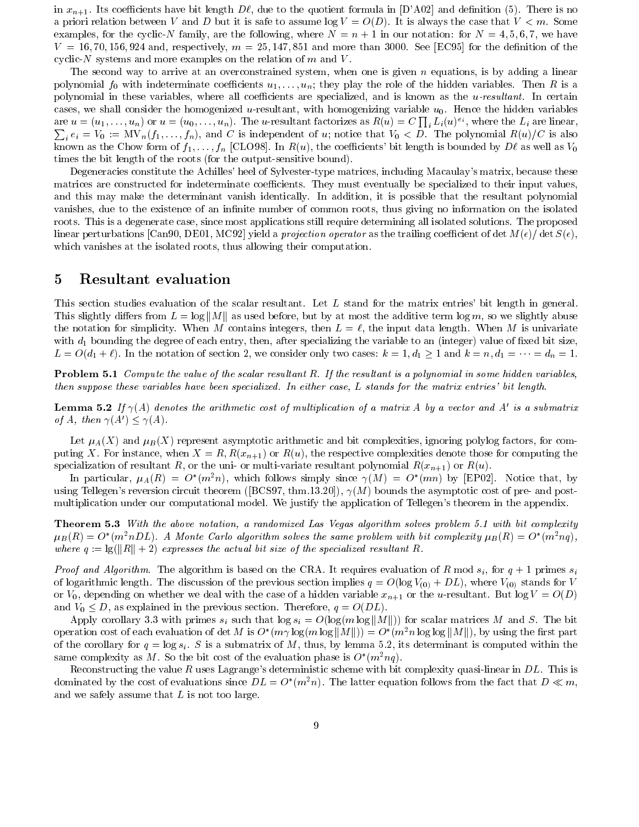in  $x_{n+1}$ . Its coefficients have bit length  $D\ell$ , due to the quotient formula in [D'A02] and definition (5). There is no a priori relation between V and D but it is safe to assume  $log V = O(D)$ . It is always the case that  $V < m$ . Some examples, for the cyclic-N family, are the following, where  $N = n + 1$  in our notation: for  $N = 4, 5, 6, 7$ , we have  $V = 16, 70, 156, 924$  and, respectively,  $m = 25, 147, 851$  and more than 3000. See [EC95] for the definition of the cyclic-N systems and more examples on the relation of  $m$  and  $V$ .

The second way to arrive at an overconstrained system, when one is given  $n$  equations, is by adding a linear polynomial  $f_0$  with indeterminate coefficients  $u_1, \ldots, u_n$ ; they play the role of the hidden variables. Then R is a polynomial in these variables, where all coefficients are specialized, and is known as the  $u$ -resultant. In certain cases, we shall consider the homogenized u-resultant, with homogenizing variable  $u_0$ . Hence the hidden variables are  $u = (u_1, \ldots, u_n)$  or  $u = (u_0, \ldots, u_n)$ . The *u*-resultant factorizes as  $R(u) = C \prod_i L_i(u)^{e_i}$ , where the  $L_i$  are linear,  $\sum_i e_i = V_0 := MV_n(f_1,\ldots,f_n)$ , and C is independent of u; notice that  $V_0 < D$ . The polynomial  $R(u)/C$  is also known as the Chow form of  $f_1, \ldots, f_n$  [CLO98]. In  $R(u)$ , the coefficients' bit length is bounded by  $D\ell$  as well as  $V_0$ times the bit length of the roots (for the output-sensitive bound).

Degeneracies constitute the Achilles' heel of Sylvester-type matrices, including Macaulay's matrix, because these matrices are constructed for indeterminate coefficients. They must eventually be specialized to their input values. and this may make the determinant vanish identically. In addition, it is possible that the resultant polynomial vanishes, due to the existence of an infinite number of common roots, thus giving no information on the isolated roots. This is a degenerate case, since most applications still require determining all isolated solutions. The proposed linear perturbations [Can90, DE01, MC92] yield a *projection operator* as the trailing coefficient of det  $M(\epsilon)/\det S(\epsilon)$ . which vanishes at the isolated roots, thus allowing their computation.

#### Resultant evaluation 5

This section studies evaluation of the scalar resultant. Let L stand for the matrix entries' bit length in general. This slightly differs from  $L = \log ||M||$  as used before, but by at most the additive term  $\log m$ , so we slightly abuse the notation for simplicity. When M contains integers, then  $L = \ell$ , the input data length. When M is univariate with  $d_1$  bounding the degree of each entry, then, after specializing the variable to an (integer) value of fixed bit size,  $L = O(d_1 + \ell)$ . In the notation of section 2, we consider only two cases:  $k = 1, d_1 \ge 1$  and  $k = n, d_1 = \cdots = d_n = 1$ .

**Problem 5.1** Compute the value of the scalar resultant  $R$ . If the resultant is a polynomial in some hidden variables, then suppose these variables have been specialized. In either case, L stands for the matrix entries' bit length.

**Lemma 5.2** If  $\gamma(A)$  denotes the arithmetic cost of multiplication of a matrix A by a vector and A' is a submatrix of A, then  $\gamma(A') \leq \gamma(A)$ .

Let  $\mu_A(X)$  and  $\mu_B(X)$  represent asymptotic arithmetic and bit complexities, ignoring polylog factors, for computing X. For instance, when  $X = R$ ,  $R(x_{n+1})$  or  $R(u)$ , the respective complexities denote those for computing the specialization of resultant R, or the uni- or multi-variate resultant polynomial  $R(x_{n+1})$  or  $R(u)$ .

In particular,  $\mu_A(R) = O^*(m^2n)$ , which follows simply since  $\gamma(M) = O^*(mn)$  by [EP02]. Notice that, by using Tellegen's reversion circuit theorem ([BCS97, thm.13.20]),  $\gamma(M)$  bounds the asymptotic cost of pre- and postmultiplication under our computational model. We justify the application of Tellegen's theorem in the appendix.

**Theorem 5.3** With the above notation, a randomized Las Vegas algorithm solves problem 5.1 with bit complexity  $\mu_B(R) = O^*(m^2 n D L)$ . A Monte Carlo algorithm solves the same problem with bit complexity  $\mu_B(R) = O^*(m^2 n g)$ . where  $q := \frac{q}{|R|} + 2$  expresses the actual bit size of the specialized resultant R.

*Proof and Algorithm.* The algorithm is based on the CRA. It requires evaluation of R mod  $s_i$ , for  $q+1$  primes  $s_i$ of logarithmic length. The discussion of the previous section implies  $q = O(\log V_{(0)} + DL)$ , where  $V_{(0)}$  stands for V or  $V_0$ , depending on whether we deal with the case of a hidden variable  $x_{n+1}$  or the u-resultant. But  $log V = O(D)$ and  $V_0 \leq D$ , as explained in the previous section. Therefore,  $q = O(DL)$ .

Apply corollary 3.3 with primes  $s_i$  such that  $\log s_i = O(\log(m \log ||M||))$  for scalar matrices M and S. The bit operation cost of each evaluation of det M is  $O^*(m\gamma \log(m \log ||M||)) = O^*(m^2 n \log \log ||M||)$ , by using the first part of the corollary for  $q = \log s_i$ . S is a submatrix of M, thus, by lemma 5.2, its determinant is computed within the same complexity as M. So the bit cost of the evaluation phase is  $O^*(m^2nq)$ .

Reconstructing the value R uses Lagrange's deterministic scheme with bit complexity quasi-linear in  $DL$ . This is dominated by the cost of evaluations since  $DL = O^*(m^2n)$ . The latter equation follows from the fact that  $D \ll m$ , and we safely assume that  $L$  is not too large.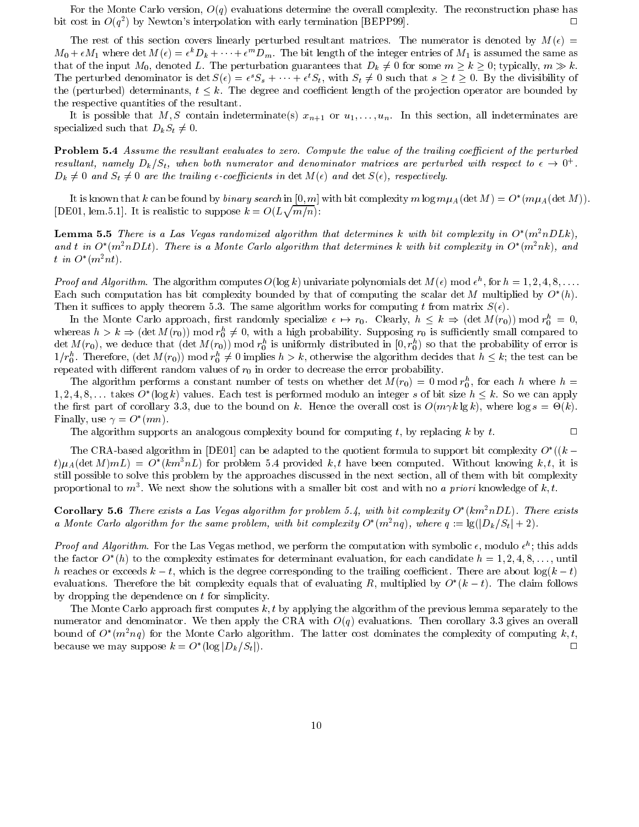For the Monte Carlo version,  $O(q)$  evaluations determine the overall complexity. The reconstruction phase has bit cost in  $O(q^2)$  by Newton's interpolation with early termination [BEPP99].  $\Box$ 

The rest of this section covers linearly perturbed resultant matrices. The numerator is denoted by  $M(\epsilon)$  $M_0 + \epsilon M_1$  where det  $M(\epsilon) = \epsilon^k D_k + \cdots + \epsilon^m D_m$ . The bit length of the integer entries of  $M_1$  is assumed the same as that of the input  $M_0$ , denoted L. The perturbation guarantees that  $D_k \neq 0$  for some  $m \geq k \geq 0$ ; typically,  $m \gg k$ . The perturbed denominator is det  $S(\epsilon) = \epsilon^{s} S_s + \cdots + \epsilon^{t} S_t$ , with  $S_t \neq 0$  such that  $s \geq t \geq 0$ . By the divisibility of the (perturbed) determinants,  $t \leq k$ . The degree and coefficient length of the projection operator are bounded by the respective quantities of the resultant.

It is possible that M, S contain indeterminate(s)  $x_{n+1}$  or  $u_1, \ldots, u_n$ . In this section, all indeterminates are specialized such that  $D_k S_t \neq 0$ .

**Problem 5.4** Assume the resultant evaluates to zero. Compute the value of the trailing coefficient of the perturbed resultant, namely  $D_k/S_t$ , when both numerator and denominator matrices are perturbed with respect to  $\epsilon \to 0^+$ .  $D_k \neq 0$  and  $S_t \neq 0$  are the trailing  $\epsilon$ -coefficients in det  $M(\epsilon)$  and det  $S(\epsilon)$ , respectively.

It is known that k can be found by binary search in [0, m] with bit complexity m  $\log m\mu_A(\det M) = O^*(m\mu_A(\det M)).$ [DE01, lem.5.1]. It is realistic to suppose  $k = O(L\sqrt{m/n})$ :

**Lemma 5.5** There is a Las Vegas randomized algorithm that determines k with bit complexity in  $O^*(m^2nDLk)$ . and t in  $O^*(m^2nDLt)$ . There is a Monte Carlo algorithm that determines k with bit complexity in  $O^*(m^2nk)$ , and t in  $O^*(m^2nt)$ .

*Proof and Algorithm.* The algorithm computes  $O(\log k)$  univariate polynomials det  $M(\epsilon)$  mod  $\epsilon^h$ , for  $h = 1, 2, 4, 8, \ldots$ Each such computation has bit complexity bounded by that of computing the scalar det M multiplied by  $O^*(h)$ . Then it suffices to apply theorem 5.3. The same algorithm works for computing t from matrix  $S(\epsilon)$ .

In the Monte Carlo approach, first randomly specialize  $\epsilon \mapsto r_0$ . Clearly,  $h \leq k \Rightarrow (\det M(r_0)) \mod r_0^h = 0$ , whereas  $h > k \Rightarrow (\det M(r_0)) \mod r_0^h \neq 0$ , with a high probability. Supposing  $r_0$  is sufficiently small compared to det  $M(r_0)$ , we deduce that  $(\det M(r_0))$  mod  $r_0^h$  is uniformly distributed in  $[0, r_0^h)$  so that the probability of error is  $1/r_0^h$ . Therefore,  $(\det M(r_0))$  mod  $r_0^h \neq 0$  implies  $h > k$ , otherwise the algorithm decides that  $h \leq k$ ; the test can be repeated with different random values of  $r_0$  in order to decrease the error probability.

The algorithm performs a constant number of tests on whether det  $M(r_0) = 0$  mod  $r_0^h$ , for each h where  $h =$  $1, 2, 4, 8, \ldots$  takes  $O^*(\log k)$  values. Each test is performed modulo an integer s of bit size  $h \leq k$ . So we can apply the first part of corollary 3.3, due to the bound on k. Hence the overall cost is  $O(m\gamma k \lg k)$ , where  $\log s = \Theta(k)$ . Finally, use  $\gamma = O^*(mn)$ .

 $\Box$ 

The algorithm supports an analogous complexity bound for computing t, by replacing  $k$  by  $t$ .

The CRA-based algorithm in [DE01] can be adapted to the quotient formula to support bit complexity  $O^*((k$  $t\mu_A(\det M) mL = O^*(km^3nL)$  for problem 5.4 provided k, t have been computed. Without knowing k, t, it is still possible to solve this problem by the approaches discussed in the next section, all of them with bit complexity proportional to  $m^3$ . We next show the solutions with a smaller bit cost and with no a priori knowledge of k, t.

**Corollary 5.6** There exists a Las Vegas algorithm for problem 5.4, with bit complexity  $O^*(km^2nDL)$ . There exists a Monte Carlo algorithm for the same problem, with bit complexity  $O^*(m^2 nq)$ , where  $q := \lg(|D_k/S_t| + 2)$ .

*Proof and Algorithm.* For the Las Vegas method, we perform the computation with symbolic  $\epsilon$ , modulo  $\epsilon^h$ ; this adds the factor  $O^*(h)$  to the complexity estimates for determinant evaluation, for each candidate  $h = 1, 2, 4, 8, \ldots$ , until h reaches or exceeds  $k-t$ , which is the degree corresponding to the trailing coefficient. There are about  $log(k-t)$ evaluations. Therefore the bit complexity equals that of evaluating R, multiplied by  $O^*(k-t)$ . The claim follows by dropping the dependence on  $t$  for simplicity.

The Monte Carlo approach first computes  $k, t$  by applying the algorithm of the previous lemma separately to the numerator and denominator. We then apply the CRA with  $O(q)$  evaluations. Then corollary 3.3 gives an overall bound of  $O^*(m^2nq)$  for the Monte Carlo algorithm. The latter cost dominates the complexity of computing k, t, because we may suppose  $k = O^*(\log |D_k/S_t|)$ .  $\Box$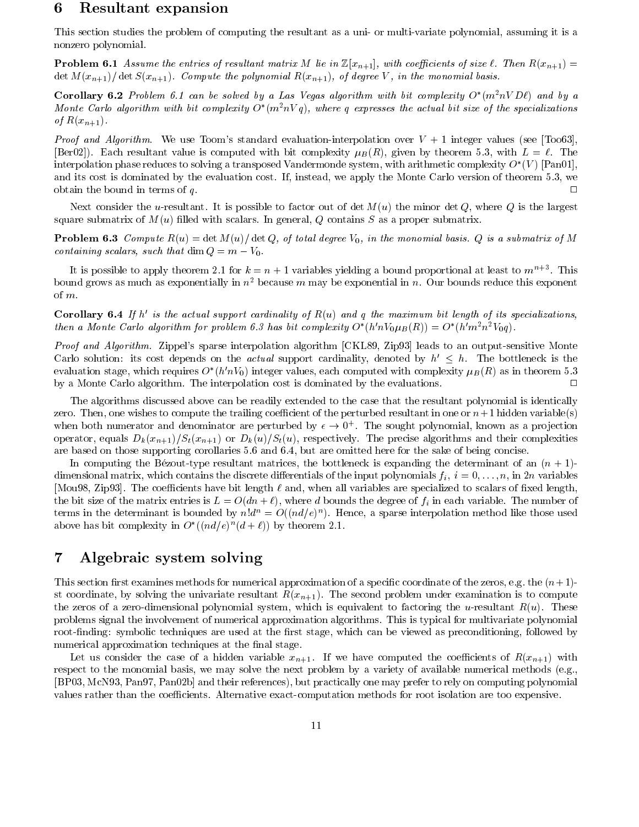#### 6 Resultant expansion

This section studies the problem of computing the resultant as a uni- or multi-variate polynomial, assuming it is a nonzero polynomial.

**Problem 6.1** Assume the entries of resultant matrix M lie in  $\mathbb{Z}[x_{n+1}]$ , with coefficients of size  $\ell$ . Then  $R(x_{n+1}) =$  $\det M(x_{n+1})/\det S(x_{n+1})$ . Compute the polynomial  $R(x_{n+1})$ , of degree V, in the monomial basis.

**Corollary 6.2** Problem 6.1 can be solved by a Las Vegas algorithm with bit complexity  $O^*(m^2nVD\ell)$  and by a Monte Carlo algorithm with bit complexity  $O^*(m^2nVq)$ , where q expresses the actual bit size of the specializations of  $R(x_{n+1})$ .

*Proof and Algorithm.* We use Toom's standard evaluation-interpolation over  $V + 1$  integer values (see [Too63], [Ber02]). Each resultant value is computed with bit complexity  $\mu_B(R)$ , given by theorem 5.3, with  $L = \ell$ . The interpolation phase reduces to solving a transposed Vandermonde system, with arithmetic complexity  $O^*(V)$  [Pan01], and its cost is dominated by the evaluation cost. If, instead, we apply the Monte Carlo version of theorem 5.3, we obtain the bound in terms of  $q$ .

Next consider the u-resultant. It is possible to factor out of det  $M(u)$  the minor det Q, where Q is the largest square submatrix of  $M(u)$  filled with scalars. In general, Q contains S as a proper submatrix.

**Problem 6.3** Compute  $R(u) = \det M(u) / \det Q$ , of total degree  $V_0$ , in the monomial basis. Q is a submatrix of M containing scalars, such that dim  $Q = m - V_0$ .

It is possible to apply theorem 2.1 for  $k = n + 1$  variables yielding a bound proportional at least to  $m^{n+3}$ . This bound grows as much as exponentially in  $n^2$  because m may be exponential in n. Our bounds reduce this exponent of  $m$ .

**Corollary 6.4** If h' is the actual support cardinality of  $R(u)$  and q the maximum bit length of its specializations, then a Monte Carlo algorithm for problem 6.3 has bit complexity  $O^*(h'nV_0\mu_B(R)) = O^*(h'm^2n^2V_0q)$ .

Proof and Algorithm. Zippel's sparse interpolation algorithm [CKL89, Zip93] leads to an output-sensitive Monte Carlo solution: its cost depends on the *actual* support cardinality, denoted by  $h' \leq h$ . The bottleneck is the evaluation stage, which requires  $O^*(h'nV_0)$  integer values, each computed with complexity  $\mu_B(R)$  as in theorem 5.3 by a Monte Carlo algorithm. The interpolation cost is dominated by the evaluations.  $\Box$ 

The algorithms discussed above can be readily extended to the case that the resultant polynomial is identically zero. Then, one wishes to compute the trailing coefficient of the perturbed resultant in one or  $n+1$  hidden variable(s) when both numerator and denominator are perturbed by  $\epsilon \to 0^+$ . The sought polynomial, known as a projection operator, equals  $D_k(x_{n+1})/S_t(x_{n+1})$  or  $D_k(u)/S_t(u)$ , respectively. The precise algorithms and their complexities are based on those supporting corollaries 5.6 and 6.4, but are omitted here for the sake of being concise.

In computing the Bézout-type resultant matrices, the bottleneck is expanding the determinant of an  $(n+1)$ dimensional matrix, which contains the discrete differentials of the input polynomials  $f_i$ ,  $i = 0, \ldots, n$ , in 2*n* variables [Mou98, Zip93]. The coefficients have bit length  $\ell$  and, when all variables are specialized to scalars of fixed length, the bit size of the matrix entries is  $L = O(dn + \ell)$ , where d bounds the degree of  $f_i$  in each variable. The number of terms in the determinant is bounded by  $n!d^n = O((nd/e)^n)$ . Hence, a sparse interpolation method like those used above has bit complexity in  $O^*((nd/e)^n(d+\ell))$  by theorem 2.1.

#### Algebraic system solving 7

This section first examines methods for numerical approximation of a specific coordinate of the zeros, e.g. the  $(n+1)$ st coordinate, by solving the univariate resultant  $R(x_{n+1})$ . The second problem under examination is to compute the zeros of a zero-dimensional polynomial system, which is equivalent to factoring the u-resultant  $R(u)$ . These problems signal the involvement of numerical approximation algorithms. This is typical for multivariate polynomial root-finding: symbolic techniques are used at the first stage, which can be viewed as preconditioning, followed by numerical approximation techniques at the final stage.

Let us consider the case of a hidden variable  $x_{n+1}$ . If we have computed the coefficients of  $R(x_{n+1})$  with respect to the monomial basis, we may solve the next problem by a variety of available numerical methods (e.g. [BP03, McN93, Pan97, Pan02b] and their references), but practically one may prefer to rely on computing polynomial values rather than the coefficients. Alternative exact-computation methods for root isolation are too expensive.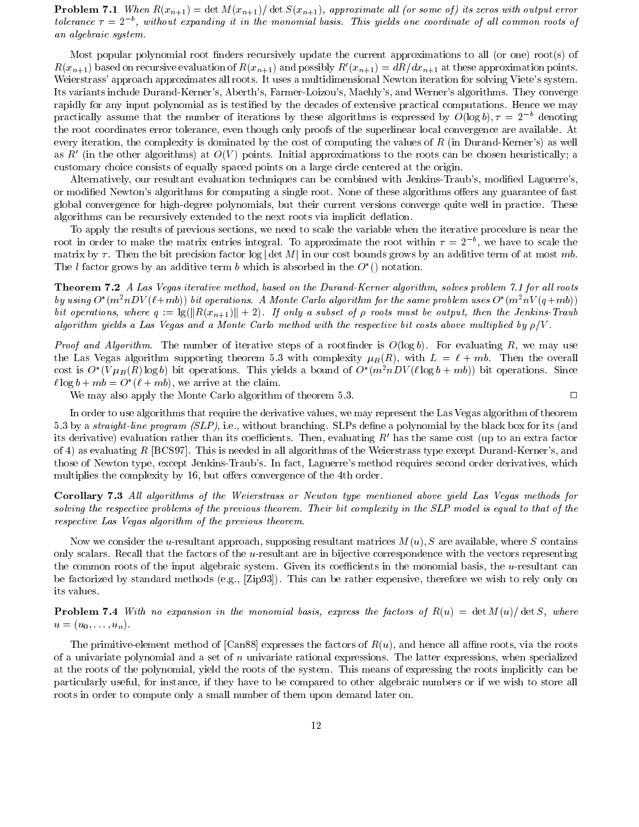**Problem 7.1** When  $R(x_{n+1}) = \det M(x_{n+1})/\det S(x_{n+1})$ , approximate all (or some of) its zeros with output error tolerance  $\tau = 2^{-b}$ , without expanding it in the monomial basis. This yields one coordinate of all common roots of an algebraic system.

Most popular polynomial root finders recursively update the current approximations to all (or one) root(s) of  $R(x_{n+1})$  based on recursive evaluation of  $R(x_{n+1})$  and possibly  $R'(x_{n+1}) = dR/dx_{n+1}$  at these approximation points. Weierstrass' approach approximates all roots. It uses a multidimensional Newton iteration for solving Viete's system. Its variants include Durand-Kerner's, Aberth's, Farmer-Loizou's, Maehly's, and Werner's algorithms. They converge rapidly for any input polynomial as is testified by the decades of extensive practical computations. Hence we may practically assume that the number of iterations by these algorithms is expressed by  $O(\log b)$ ,  $\tau = 2^{-b}$  denoting the root coordinates error tolerance, even though only proofs of the superlinear local convergence are available. At every iteration, the complexity is dominated by the cost of computing the values of  $R$  (in Durand-Kerner's) as well as R' (in the other algorithms) at  $O(V)$  points. Initial approximations to the roots can be chosen heuristically; a customary choice consists of equally spaced points on a large circle centered at the origin.

Alternatively, our resultant evaluation techniques can be combined with Jenkins-Traub's, modified Laguerre's, or modified Newton's algorithms for computing a single root. None of these algorithms offers any guarantee of fast global convergence for high-degree polynomials, but their current versions converge quite well in practice. These algorithms can be recursively extended to the next roots via implicit deflation.

To apply the results of previous sections, we need to scale the variable when the iterative procedure is near the root in order to make the matrix entries integral. To approximate the root within  $\tau = 2^{-b}$ , we have to scale the matrix by  $\tau$ . Then the bit precision factor  $\log |\det M|$  in our cost bounds grows by an additive term of at most mb. The l factor grows by an additive term b which is absorbed in the  $O^*()$  notation.

**Theorem 7.2** A Las Vegas iterative method, based on the Durand-Kerner algorithm, solves problem 7.1 for all roots by using  $O^*(m^2nDV(\ell+m b))$  bit operations. A Monte Carlo algorithm for the same problem uses  $O^*(m^2nV(q+m b))$ bit operations, where  $q := \frac{q}{|R(x_{n+1})|} + 2$ . If only a subset of  $\rho$  roots must be output, then the Jenkins-Traub algorithm yields a Las Vegas and a Monte Carlo method with the respective bit costs above multiplied by  $\rho/V$ .

*Proof and Algorithm.* The number of iterative steps of a rootfinder is  $O(log b)$ . For evaluating R, we may use the Las Vegas algorithm supporting theorem 5.3 with complexity  $\mu_B(R)$ , with  $L = \ell + mb$ . Then the overall cost is  $O^*(V\mu_B(R)\log b)$  bit operations. This yields a bound of  $O^*(m^2nDV(\ell\log b + mb))$  bit operations. Since  $\ell \log b + mb = O^*(\ell + mb)$ , we arrive at the claim.

We may also apply the Monte Carlo algorithm of theorem 5.3.

 $\Box$ 

In order to use algorithms that require the derivative values, we may represent the Las Vegas algorithm of theorem 5.3 by a *straight-line program (SLP)*, i.e., without branching. SLPs define a polynomial by the black box for its (and its derivative) evaluation rather than its coefficients. Then, evaluating  $R'$  has the same cost (up to an extra factor of 4) as evaluating R [BCS97]. This is needed in all algorithms of the Weierstrass type except Durand-Kerner's, and those of Newton type, except Jenkins-Traub's. In fact, Laguerre's method requires second order derivatives, which multiplies the complexity by 16, but offers convergence of the 4th order.

**Corollary 7.3** All algorithms of the Weierstrass or Newton type mentioned above yield Las Vegas methods for solving the respective problems of the previous theorem. Their bit complexity in the SLP model is equal to that of the respective Las Vegas algorithm of the previous theorem.

Now we consider the u-resultant approach, supposing resultant matrices  $M(u)$ , S are available, where S contains only scalars. Recall that the factors of the  $u$ -resultant are in bijective correspondence with the vectors representing the common roots of the input algebraic system. Given its coefficients in the monomial basis, the u-resultant can be factorized by standard methods (e.g., [Zip93]). This can be rather expensive, therefore we wish to rely only on its values.

**Problem 7.4** With no expansion in the monomial basis, express the factors of  $R(u) = \det M(u)/\det S$ , where  $u=(u_0,\ldots,u_n).$ 

The primitive-element method of [Can88] expresses the factors of  $R(u)$ , and hence all affine roots, via the roots of a univariate polynomial and a set of  $n$  univariate rational expressions. The latter expressions, when specialized at the roots of the polynomial, yield the roots of the system. This means of expressing the roots implicitly can be particularly useful, for instance, if they have to be compared to other algebraic numbers or if we wish to store all roots in order to compute only a small number of them upon demand later on.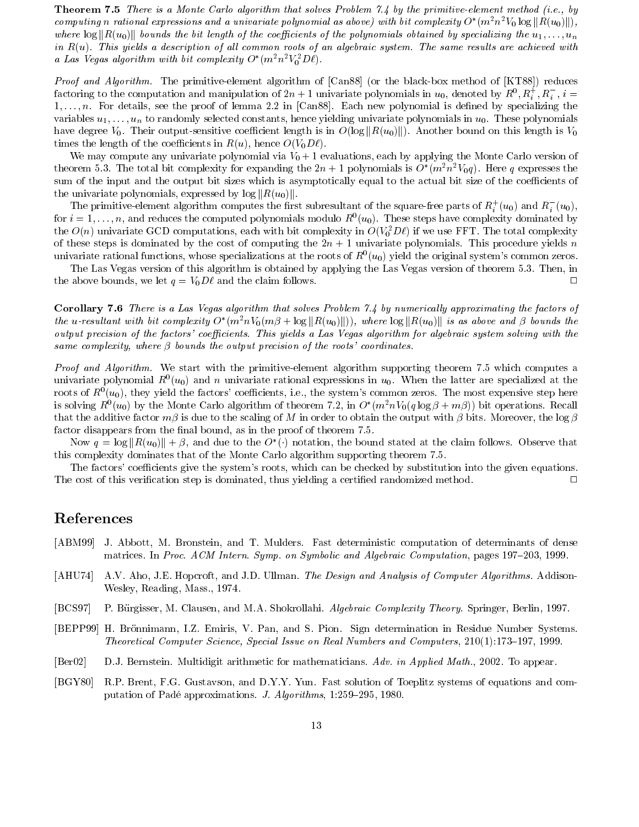**Theorem 7.5** There is a Monte Carlo algorithm that solves Problem 7.4 by the primitive-element method (i.e., by computing n rational expressions and a univariate polynomial as above) with bit complexity  $O^*(m^2n^2V_0 \log ||R(u_0)||)$ , where  $\log \|R(u_0)\|$  bounds the bit length of the coefficients of the polynomials obtained by specializing the  $u_1,\ldots,u_n$ in  $R(u)$ . This yields a description of all common roots of an algebraic system. The same results are achieved with a Las Vegas algorithm with bit complexity  $O^*(m^2n^2V_0^2D\ell)$ .

*Proof and Algorithm.* The primitive-element algorithm of [Can88] (or the black-box method of [KT88]) reduces factoring to the computation and manipulation of  $2n+1$  univariate polynomials in  $u_0$ , denoted by  $R^0, R_i^+, R_i^-, i =$  $1, \ldots, n$ . For details, see the proof of lemma 2.2 in [Can88]. Each new polynomial is defined by specializing the variables  $u_1, \ldots, u_n$  to randomly selected constants, hence yielding univariate polynomials in  $u_0$ . These polynomials have degree  $V_0$ . Their output-sensitive coefficient length is in  $O(\log ||R(u_0)||)$ . Another bound on this length is  $V_0$ times the length of the coefficients in  $R(u)$ , hence  $O(V_0 D\ell)$ .

We may compute any univariate polynomial via  $V_0 + 1$  evaluations, each by applying the Monte Carlo version of theorem 5.3. The total bit complexity for expanding the  $2n+1$  polynomials is  $O^*(m^2n^2V_0q)$ . Here q expresses the sum of the input and the output bit sizes which is asymptotically equal to the actual bit size of the coefficients of the univariate polynomials, expressed by  $\log ||R(u_0)||$ .

The primitive-element algorithm computes the first subresultant of the square-free parts of  $R_i^+(u_0)$  and  $R_i^-(u_0)$ , for  $i = 1, ..., n$ , and reduces the computed polynomials modulo  $R^0(u_0)$ . These steps have complexity dominated by the  $O(n)$  univariate GCD computations, each with bit complexity in  $O(V_0^2 D \ell)$  if we use FFT. The total complexity of these steps is dominated by the cost of computing the  $2n + 1$  univariate polynomials. This procedure yields n univariate rational functions, whose specializations at the roots of  $R^0(u_0)$  yield the original system's common zeros.

The Las Vegas version of this algorithm is obtained by applying the Las Vegas version of theorem 5.3. Then, in the above bounds, we let  $q = V_0 D\ell$  and the claim follows.  $\Box$ 

**Corollary 7.6** There is a Las Vegas algorithm that solves Problem 7.4 by numerically approximating the factors of the u-resultant with bit complexity  $O^*(m^2nV_0(m\beta + \log ||R(u_0)||))$ , where  $\log ||R(u_0)||$  is as above and  $\beta$  bounds the output precision of the factors' coefficients. This yields a Las Vegas algorithm for algebraic system solving with the same complexity, where  $\beta$  bounds the output precision of the roots' coordinates.

*Proof and Algorithm.* We start with the primitive-element algorithm supporting theorem 7.5 which computes a univariate polynomial  $R^0(u_0)$  and n univariate rational expressions in  $u_0$ . When the latter are specialized at the roots of  $R^0(u_0)$ , they yield the factors' coefficients, i.e., the system's common zeros. The most expensive step here is solving  $R^0(u_0)$  by the Monte Carlo algorithm of theorem 7.2, in  $O^*(m^2nV_0(q\log\beta+m\beta))$  bit operations. Recall that the additive factor  $m\beta$  is due to the scaling of M in order to obtain the output with  $\beta$  bits. Moreover, the  $\log \beta$ factor disappears from the final bound, as in the proof of theorem 7.5.

Now  $q = \log ||R(u_0)|| + \beta$ , and due to the  $O^*(\cdot)$  notation, the bound stated at the claim follows. Observe that this complexity dominates that of the Monte Carlo algorithm supporting theorem 7.5.

The factors' coefficients give the system's roots, which can be checked by substitution into the given equations. The cost of this verification step is dominated, thus yielding a certified randomized method.  $\Box$ 

### References

- [ABM99] J. Abbott, M. Bronstein, and T. Mulders. Fast deterministic computation of determinants of dense matrices. In Proc. ACM Intern. Symp. on Symbolic and Algebraic Computation, pages 197–203, 1999.
- $[AHU74]$ A.V. Aho, J.E. Hopcroft, and J.D. Ullman. The Design and Analysis of Computer Algorithms. Addison-Wesley, Reading, Mass., 1974.
- $[BCS97]$ P. Bürgisser, M. Clausen, and M.A. Shokrollahi. Algebraic Complexity Theory. Springer, Berlin, 1997.
- [BEPP99] H. Brönnimann, I.Z. Emiris, V. Pan, and S. Pion. Sign determination in Residue Number Systems. Theoretical Computer Science, Special Issue on Real Numbers and Computers, 210(1):173–197, 1999.
- $[Ber02]$ D.J. Bernstein. Multidigit arithmetic for mathematicians. Adv. in Applied Math., 2002. To appear.
- $[BGY80]$ R.P. Brent, F.G. Gustavson, and D.Y.Y. Yun. Fast solution of Toeplitz systems of equations and computation of Padé approximations. J. Algorithms, 1:259-295, 1980.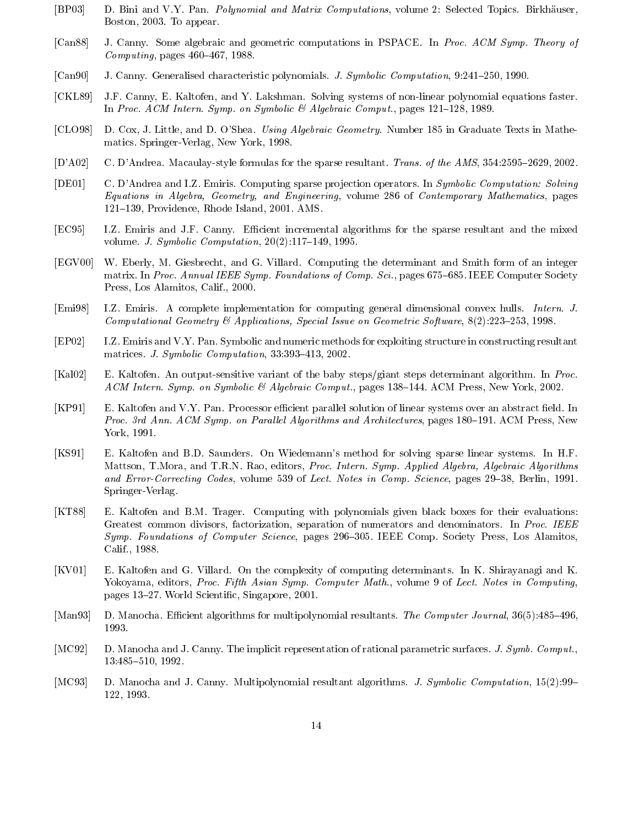- $[BP03]$ D. Bini and V.Y. Pan. *Polynomial and Matrix Computations*, volume 2: Selected Topics. Birkhäuser, Boston, 2003. To appear.
- $[Can88]$ J. Canny. Some algebraic and geometric computations in PSPACE. In Proc. ACM Symp. Theory of *Computing*, pages  $460-467$ , 1988.
- $[Can90]$ J. Canny. Generalised characteristic polynomials. J. Symbolic Computation, 9:241-250, 1990.
- J.F. Canny, E. Kaltofen, and Y. Lakshman. Solving systems of non-linear polynomial equations faster.  $[CKL89]$ In Proc. ACM Intern. Symp. on Symbolic & Algebraic Comput., pages  $121-128$ , 1989.
- $[CLO98]$ D. Cox, J. Little, and D. O'Shea. Using Algebraic Geometry. Number 185 in Graduate Texts in Mathematics. Springer-Verlag, New York, 1998.
- $[D'AO2]$ C. D'Andrea. Macaulay-style formulas for the sparse resultant. Trans. of the AMS, 354:2595-2629, 2002.
- $[DE01]$ C. D'Andrea and I.Z. Emiris. Computing sparse projection operators. In Symbolic Computation: Solving Equations in Algebra, Geometry, and Engineering, volume 286 of Contemporary Mathematics, pages 121-139, Providence, Rhode Island, 2001. AMS.
- $[EC95]$ I.Z. Emiris and J.F. Canny. Efficient incremental algorithms for the sparse resultant and the mixed volume. J. Symbolic Computation,  $20(2):117-149$ , 1995.
- W. Eberly, M. Giesbrecht, and G. Villard. Computing the determinant and Smith form of an integer  $[EGV00]$ matrix. In Proc. Annual IEEE Symp. Foundations of Comp. Sci., pages 675–685. IEEE Computer Society Press, Los Alamitos, Calif., 2000.
- $[Emi98]$ I.Z. Emiris. A complete implementation for computing general dimensional convex hulls. Intern. J. Computational Geometry & Applications, Special Issue on Geometric Software,  $8(2):223-253$ , 1998.
- $[EP02]$ I.Z. Emiris and V.Y. Pan. Symbolic and numeric methods for exploiting structure in constructing resultant matrices. J. Symbolic Computation, 33:393-413, 2002.
- $[Ka102]$ E. Kaltofen. An output-sensitive variant of the baby steps/giant steps determinant algorithm. In Proc. ACM Intern. Symp. on Symbolic & Algebraic Comput., pages 138-144. ACM Press, New York, 2002.
- $[KP91]$ E. Kaltofen and V.Y. Pan. Processor efficient parallel solution of linear systems over an abstract field. In Proc. 3rd Ann. ACM Symp. on Parallel Algorithms and Architectures, pages 180–191. ACM Press, New York, 1991.
- $[KS91]$ E. Kaltofen and B.D. Saunders. On Wiedemann's method for solving sparse linear systems. In H.F. Mattson, T.Mora, and T.R.N. Rao, editors, Proc. Intern. Symp. Applied Algebra, Algebraic Algorithms and Error-Correcting Codes, volume 539 of Lect. Notes in Comp. Science, pages 29–38, Berlin, 1991. Springer-Verlag.
- [KT88] E. Kaltofen and B.M. Trager. Computing with polynomials given black boxes for their evaluations: Greatest common divisors, factorization, separation of numerators and denominators. In Proc. IEEE Symp. Foundations of Computer Science, pages 296–305. IEEE Comp. Society Press, Los Alamitos, Calif., 1988.
- $[KV01]$ E. Kaltofen and G. Villard. On the complexity of computing determinants. In K. Shirayanagi and K. Yokoyama, editors, Proc. Fifth Asian Symp. Computer Math., volume 9 of Lect. Notes in Computing, pages 13–27. World Scientific, Singapore, 2001.
- $[Man93]$ D. Manocha. Efficient algorithms for multipolynomial resultants. The Computer Journal, 36(5):485-496, 1993.
- $[MC92]$ D. Manocha and J. Canny. The implicit representation of rational parametric surfaces. J. Symb. Comput., 13:485-510, 1992.
- $[MC93]$ D. Manocha and J. Canny. Multipolynomial resultant algorithms. J. Symbolic Computation, 15(2):99– 122, 1993.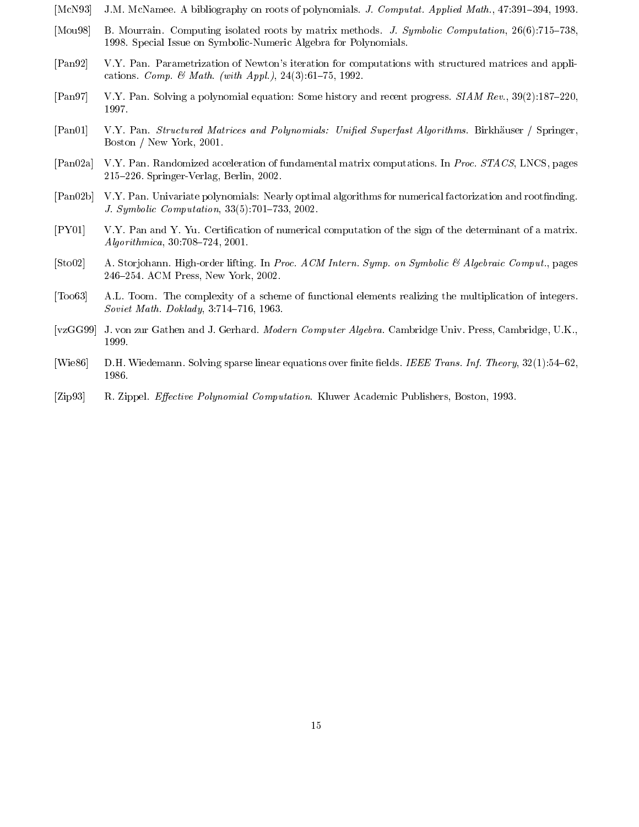- [McN93] J.M. McNamee. A bibliography on roots of polynomials. J. Computat. Applied Math., 47:391-394, 1993.
- [Mou98] B. Mourrain. Computing isolated roots by matrix methods. J. Symbolic Computation, 26(6):715–738, 1998. Special Issue on Symbolic-Numeric Algebra for Polynomials.
- $[Pan92]$ V.Y. Pan. Parametrization of Newton's iteration for computations with structured matrices and applications. *Comp.*  $\&$  *Math.* (with Appl.), 24(3):61-75, 1992.
- $[Pan97]$ V.Y. Pan. Solving a polynomial equation: Some history and recent progress. SIAM Rev., 39(2):187-220, 1997.
- $[Pan01]$ V.Y. Pan. Structured Matrices and Polynomials: Unified Superfast Algorithms. Birkhäuser / Springer, Boston / New York, 2001.
- $[Pan02a]$ V.Y. Pan. Randomized acceleration of fundamental matrix computations. In Proc. STACS, LNCS, pages  $215-226$ . Springer-Verlag, Berlin, 2002.
- $[Pan02b]$ V.Y. Pan. Univariate polynomials: Nearly optimal algorithms for numerical factorization and rootfinding. J. Symbolic Computation, 33(5):701-733, 2002.
- V.Y. Pan and Y. Yu. Certification of numerical computation of the sign of the determinant of a matrix.  $[PY01]$  $Algorithmica, 30:708–724, 2001.$
- $[Sto02]$ A. Storjohann. High-order lifting. In Proc. ACM Intern. Symp. on Symbolic & Algebraic Comput., pages 246-254. ACM Press, New York, 2002.
- $\lceil \text{Too63} \rceil$ A.L. Toom. The complexity of a scheme of functional elements realizing the multiplication of integers. Soviet Math. Doklady, 3:714-716, 1963.
- $[vzGG99]$ J. von zur Gathen and J. Gerhard. Modern Computer Algebra. Cambridge Univ. Press, Cambridge, U.K., 1999.
- [Wie86] D.H. Wiedemann. Solving sparse linear equations over finite fields. IEEE Trans. Inf. Theory,  $32(1):54-62$ , 1986.
- $[Zipp93]$ R. Zippel. Effective Polynomial Computation. Kluwer Academic Publishers, Boston, 1993.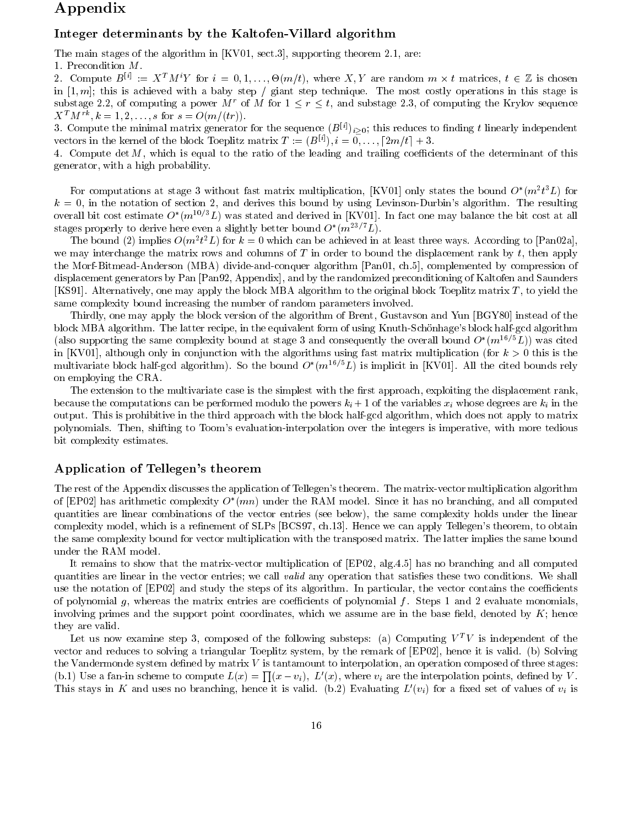### Appendix

### Integer determinants by the Kaltofen-Villard algorithm

The main stages of the algorithm in  $[KV01, \text{ sect.3}]$ , supporting theorem 2.1, are:

1. Precondition  $M$ .

2. Compute  $B^{[i]} := X^T M^{i} Y$  for  $i = 0, 1, ..., \Theta(m/t)$ , where  $X, Y$  are random  $m \times t$  matrices,  $t \in \mathbb{Z}$  is chosen in  $[1, m]$ ; this is achieved with a baby step / giant step technique. The most costly operations in this stage is substage 2.2, of computing a power M<sup>r</sup> of M for  $1 \le r \le t$ , and substage 2.3, of computing the Krylov sequence  $X^T M^{rk}$ ,  $k = 1, 2, ..., s$  for  $s = O(m/(tr))$ .

3. Compute the minimal matrix generator for the sequence  $(B^{[i]})_{i>0}$ ; this reduces to finding t linearly independent vectors in the kernel of the block Toeplitz matrix  $T := (B^{[i]}), i = 0, \ldots, [2m/t] + 3$ .

4. Compute det M, which is equal to the ratio of the leading and trailing coefficients of the determinant of this generator, with a high probability.

For computations at stage 3 without fast matrix multiplication, [KV01] only states the bound  $O^*(m^2t^3L)$  for  $k = 0$ , in the notation of section 2, and derives this bound by using Levinson-Durbin's algorithm. The resulting overall bit cost estimate  $O^*(m^{10/3}L)$  was stated and derived in [KV01]. In fact one may balance the bit cost at all stages properly to derive here even a slightly better bound  $O^*(m^{23/7}L)$ .

The bound (2) implies  $O(m^2t^2L)$  for  $k=0$  which can be achieved in at least three ways. According to [Pan02a], we may interchange the matrix rows and columns of T in order to bound the displacement rank by t, then apply the Morf-Bitmead-Anderson (MBA) divide-and-conquer algorithm [Pan01, ch.5], complemented by compression of displacement generators by Pan [Pan92, Appendix], and by the randomized preconditioning of Kaltofen and Saunders [KS91]. Alternatively, one may apply the block MBA algorithm to the original block Toeplitz matrix  $T$ , to yield the same complexity bound increasing the number of random parameters involved.

Thirdly, one may apply the block version of the algorithm of Brent, Gustavson and Yun [BGY80] instead of the block MBA algorithm. The latter recipe, in the equivalent form of using Knuth-Schönhage's block half-gcd algorithm (also supporting the same complexity bound at stage 3 and consequently the overall bound  $O^*(m^{16/5}L)$ ) was cited in [KV01], although only in conjunction with the algorithms using fast matrix multiplication (for  $k > 0$  this is the multivariate block half-gcd algorithm). So the bound  $O^*(m^{16/5}L)$  is implicit in [KV01]. All the cited bounds rely on employing the CRA.

The extension to the multivariate case is the simplest with the first approach, exploiting the displacement rank, because the computations can be performed modulo the powers  $k_i + 1$  of the variables  $x_i$  whose degrees are  $k_i$  in the output. This is prohibitive in the third approach with the block half-gcd algorithm, which does not apply to matrix polynomials. Then, shifting to Toom's evaluation-interpolation over the integers is imperative, with more tedious bit complexity estimates.

### Application of Tellegen's theorem

The rest of the Appendix discusses the application of Tellegen's theorem. The matrix-vector multiplication algorithm of [EP02] has arithmetic complexity  $O^*(mn)$  under the RAM model. Since it has no branching, and all computed quantities are linear combinations of the vector entries (see below), the same complexity holds under the linear complexity model, which is a refinement of SLPs [BCS97, ch.13]. Hence we can apply Tellegen's theorem, to obtain the same complexity bound for vector multiplication with the transposed matrix. The latter implies the same bound under the RAM model.

It remains to show that the matrix-vector multiplication of [EP02, alg.4.5] has no branching and all computed quantities are linear in the vector entries; we call *valid* any operation that satisfies these two conditions. We shall use the notation of [EP02] and study the steps of its algorithm. In particular, the vector contains the coefficients of polynomial  $g$ , whereas the matrix entries are coefficients of polynomial  $f$ . Steps 1 and 2 evaluate monomials, involving primes and the support point coordinates, which we assume are in the base field, denoted by  $K$ ; hence they are valid.

Let us now examine step 3, composed of the following substeps: (a) Computing  $V^T V$  is independent of the vector and reduces to solving a triangular Toeplitz system, by the remark of [EP02], hence it is valid. (b) Solving the Vandermonde system defined by matrix V is tantamount to interpolation, an operation composed of three stages: (b.1) Use a fan-in scheme to compute  $L(x) = \prod(x - v_i)$ ,  $L'(x)$ , where  $v_i$  are the interpolation points, defined by V. This stays in K and uses no branching, hence it is valid. (b.2) Evaluating  $L'(v_i)$  for a fixed set of values of  $v_i$  is